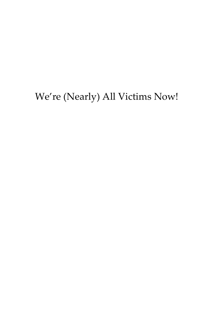# We're (Nearly) All Victims Now!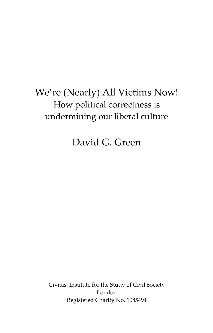# We're (Nearly) All Victims Now! How political correctness is undermining our liberal culture

David G. Green

Civitas: Institute for the Study of Civil Society London Registered Charity No. 1085494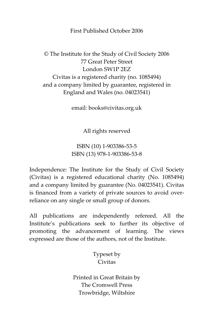First Published October 2006

## © The Institute for the Study of Civil Society 2006 77 Great Peter Street London SW1P 2EZ Civitas is a registered charity (no. 1085494) and a company limited by guarantee, registered in England and Wales (no. 04023541)

email: books@civitas.org.uk

All rights reserved

ISBN (10) 1‐903386‐53‐5 ISBN (13) 978‐1‐903386‐53‐8

Independence: The Institute for the Study of Civil Society (Civitas) is a registered educational charity (No. 1085494) and a company limited by guarantee (No. 04023541). Civitas is financed from a variety of private sources to avoid overreliance on any single or small group of donors.

All publications are independently refereed. All the Institute's publications seek to further its objective of promoting the advancement of learning. The views expressed are those of the authors, not of the Institute.

> Typeset by Civitas

Printed in Great Britain by The Cromwell Press Trowbridge, Wiltshire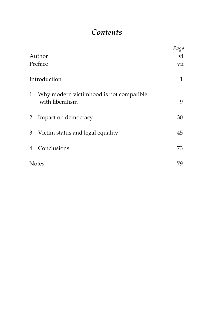# *Contents*

|              |                                                            | Page |
|--------------|------------------------------------------------------------|------|
| Author       |                                                            | vi   |
| Preface      |                                                            | vii  |
| Introduction |                                                            | 1    |
| 1            | Why modern victimhood is not compatible<br>with liberalism | 9    |
| $\mathbf{2}$ | Impact on democracy                                        | 30   |
| 3            | Victim status and legal equality                           | 45   |
| 4            | Conclusions                                                | 73   |
| <b>Notes</b> |                                                            | 79   |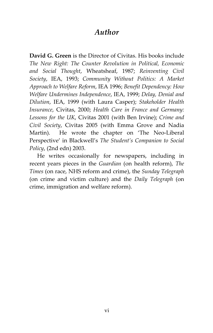# *Author*

**David G. Green** is the Director of Civitas. His books include *The New Right: The Counter Revolution in Political, Economic and Social Thought*, Wheatsheaf, 1987; *Reinventing Civil Society*, IEA, 1993; *Community Without Politics: A Market Approach to Welfare Reform*, IEA 1996; *Benefit Dependency: How Welfare Undermines Independence*, IEA, 1999; *Delay, Denial and Dilution*, IEA, 1999 (with Laura Casper); *Stakeholder Health Insurance*, Civitas, 2000; *Health Care in France and Germany: Lessons for the UK*, Civitas 2001 (with Ben Irvine); *Crime and Civil Society*, Civitas 2005 (with Emma Grove and Nadia Martin). He wrote the chapter on 'The Neo-Liberal Perspective' in Blackwell's *The Student's Companion to Social Policy*, (2nd edn) 2003.

He writes occasionally for newspapers, including in recent years pieces in the *Guardian* (on health reform), *The Times* (on race, NHS reform and crime), the *Sunday Telegraph* (on crime and victim culture) and the *Daily Telegraph* (on crime, immigration and welfare reform).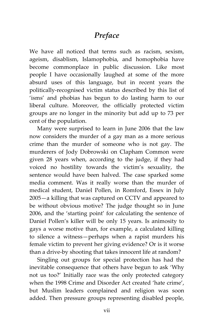# *Preface*

We have all noticed that terms such as racism, sexism, ageism, disablism, Islamophobia, and homophobia have become commonplace in public discussion. Like most people I have occasionally laughed at some of the more absurd uses of this language, but in recent years the politically‐recognised victim status described by this list of 'isms' and phobias has begun to do lasting harm to our liberal culture. Moreover, the officially protected victim groups are no longer in the minority but add up to 73 per cent of the population.

Many were surprised to learn in June 2006 that the law now considers the murder of a gay man as a more serious crime than the murder of someone who is not gay. The murderers of Jody Dobrowski on Clapham Common were given 28 years when, according to the judge, if they had voiced no hostility towards the victim's sexuality, the sentence would have been halved. The case sparked some media comment. Was it really worse than the murder of medical student, Daniel Pollen, in Romford, Essex in July 2005—a killing that was captured on CCTV and appeared to be without obvious motive? The judge thought so in June 2006, and the 'starting point' for calculating the sentence of Daniel Pollen's killer will be only 15 years. Is animosity to gays a worse motive than, for example, a calculated killing to silence a witness—perhaps when a rapist murders his female victim to prevent her giving evidence? Or is it worse than a drive‐by shooting that takes innocent life at random?

Singling out groups for special protection has had the inevitable consequence that others have begun to ask 'Why not us too?' Initially race was the only protected category when the 1998 Crime and Disorder Act created 'hate crime', but Muslim leaders complained and religion was soon added. Then pressure groups representing disabled people,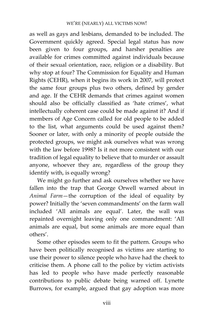as well as gays and lesbians, demanded to be included. The Government quickly agreed. Special legal status has now been given to four groups, and harsher penalties are available for crimes committed against individuals because of their sexual orientation, race, religion or a disability. But why stop at four? The Commission for Equality and Human Rights (CEHR), when it begins its work in 2007, will protect the same four groups plus two others, defined by gender and age. If the CEHR demands that crimes against women should also be officially classified as 'hate crimes', what intellectually coherent case could be made against it? And if members of Age Concern called for old people to be added to the list, what arguments could be used against them? Sooner or later, with only a minority of people outside the protected groups, we might ask ourselves what was wrong with the law before 1998? Is it not more consistent with our tradition of legal equality to believe that to murder or assault anyone, whoever they are, regardless of the group they identify with, is equally wrong?

We might go further and ask ourselves whether we have fallen into the trap that George Orwell warned about in *Animal Farm*—the corruption of the ideal of equality by power? Initially the 'seven commandments' on the farm wall included 'All animals are equal'. Later, the wall was repainted overnight leaving only one commandment: 'All animals are equal, but some animals are more equal than others'.

Some other episodes seem to fit the pattern. Groups who have been politically recognised as victims are starting to use their power to silence people who have had the cheek to criticise them. A phone call to the police by victim activists has led to people who have made perfectly reasonable contributions to public debate being warned off. Lynette Burrows, for example, argued that gay adoption was more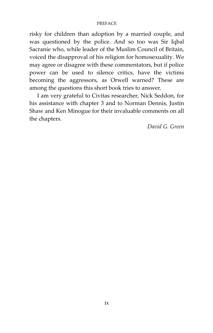#### PREFACE

risky for children than adoption by a married couple, and was questioned by the police. And so too was Sir Iqbal Sacranie who, while leader of the Muslim Council of Britain, voiced the disapproval of his religion for homosexuality. We may agree or disagree with these commentators, but if police power can be used to silence critics, have the victims becoming the aggressors, as Orwell warned? These are among the questions this short book tries to answer.

I am very grateful to Civitas researcher, Nick Seddon, for his assistance with chapter 3 and to Norman Dennis, Justin Shaw and Ken Minogue for their invaluable comments on all the chapters.

*David G. Green*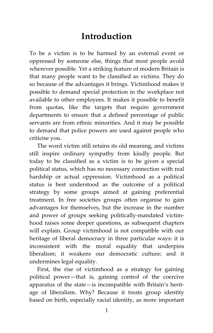# **Introduction**

To be a victim is to be harmed by an external event or oppressed by someone else, things that most people avoid wherever possible. Yet a striking feature of modern Britain is that many people want to be classified as victims. They do so because of the advantages it brings. Victimhood makes it possible to demand special protection in the workplace not available to other employees. It makes it possible to benefit from quotas, like the targets that require government departments to ensure that a defined percentage of public servants are from ethnic minorities. And it may be possible to demand that police powers are used against people who criticise you.

The word victim still retains its old meaning, and victims still inspire ordinary sympathy from kindly people. But today to be classified as a victim is to be given a special political status, which has no necessary connection with real hardship or actual oppression. Victimhood as a political status is best understood as the outcome of a political strategy by some groups aimed at gaining preferential treatment. In free societies groups often organise to gain advantages for themselves, but the increase in the number and power of groups seeking politically‐mandated victim‐ hood raises some deeper questions, as subsequent chapters will explain. Group victimhood is not compatible with our heritage of liberal democracy in three particular ways: it is inconsistent with the moral equality that underpins liberalism; it weakens our democratic culture; and it undermines legal equality.

First, the rise of victimhood as a strategy for gaining political power—that is, gaining control of the coercive apparatus of the state—is incompatible with Britain's herit‐ age of liberalism. Why? Because it treats group identity based on birth, especially racial identity, as more important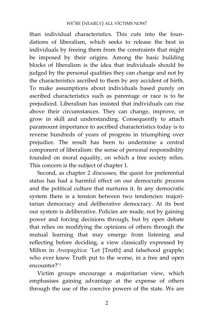#### WE'RE (NEARLY) ALL VICTIMS NOW!

than individual characteristics. This cuts into the foun‐ dations of liberalism, which seeks to release the best in individuals by freeing them from the constraints that might be imposed by their origins. Among the basic building blocks of liberalism is the idea that individuals should be judged by the personal qualities they can change and not by the characteristics ascribed to them by any accident of birth. To make assumptions about individuals based purely on ascribed characteristics such as parentage or race is to be prejudiced. Liberalism has insisted that individuals can rise above their circumstances. They can change, improve, or grow in skill and understanding. Consequently to attach paramount importance to ascribed characteristics today is to reverse hundreds of years of progress in triumphing over prejudice. The result has been to undermine a central component of liberalism: the sense of personal responsibility founded on moral equality, on which a free society relies. This concern is the subject of chapter 1.

Second, as chapter 2 discusses, the quest for preferential status has had a harmful effect on our democratic process and the political culture that nurtures it. In any democratic system there is a tension between two tendencies: majoritarian democracy and deliberative democracy. At its best our system is deliberative. Policies are made, not by gaining power and forcing decisions through, but by open debate that relies on modifying the opinions of others through the mutual learning that may emerge from listening and reflecting before deciding, a view classically expressed by Milton in *Areopagitica*: 'Let [Truth] and falsehood grapple; who ever knew Truth put to the worse, in a free and open encounter?'[1](#page-95-0)

Victim groups encourage a majoritarian view, which emphasises gaining advantage at the expense of others through the use of the coercive powers of the state. We are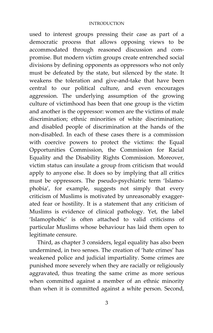#### INTRODUCTION

used to interest groups pressing their case as part of a democratic process that allows opposing views to be accommodated through reasoned discussion and com‐ promise. But modern victim groups create entrenched social divisions by defining opponents as oppressors who not only must be defeated by the state, but silenced by the state. It weakens the toleration and give-and-take that have been central to our political culture, and even encourages aggression. The underlying assumption of the growing culture of victimhood has been that one group is the victim and another is the oppressor: women are the victims of male discrimination; ethnic minorities of white discrimination; and disabled people of discrimination at the hands of the non‐disabled. In each of these cases there is a commission with coercive powers to protect the victims: the Equal Opportunities Commission, the Commission for Racial Equality and the Disability Rights Commission. Moreover, victim status can insulate a group from criticism that would apply to anyone else. It does so by implying that all critics must be oppressors. The pseudo-psychiatric term 'Islamophobia', for example, suggests not simply that every criticism of Muslims is motivated by unreasonably exaggerated fear or hostility. It is a statement that any criticism of Muslims is evidence of clinical pathology. Yet, the label 'Islamophobic' is often attached to valid criticisms of particular Muslims whose behaviour has laid them open to legitimate censure.

Third, as chapter 3 considers, legal equality has also been undermined, in two senses. The creation of 'hate crimes' has weakened police and judicial impartiality. Some crimes are punished more severely when they are racially or religiously aggravated, thus treating the same crime as more serious when committed against a member of an ethnic minority than when it is committed against a white person. Second,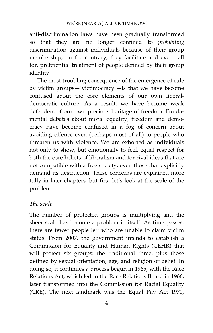anti-discrimination laws have been gradually transformed so that they are no longer confined to *prohibiting* discrimination against individuals because of their group membership; on the contrary, they facilitate and even call for, preferential treatment of people defined by their group identity.

The most troubling consequence of the emergence of rule by victim groups—'victimocracy'—is that we have become confused about the core elements of our own liberal‐ democratic culture. As a result, we have become weak defenders of our own precious heritage of freedom. Fundamental debates about moral equality, freedom and democracy have become confused in a fog of concern about avoiding offence even (perhaps most of all) to people who threaten us with violence. We are exhorted as individuals not only to show, but emotionally to feel, equal respect for both the core beliefs of liberalism and for rival ideas that are not compatible with a free society, even those that explicitly demand its destruction. These concerns are explained more fully in later chapters, but first let's look at the scale of the problem.

#### *The scale*

The number of protected groups is multiplying and the sheer scale has become a problem in itself. As time passes, there are fewer people left who are unable to claim victim status. From 2007, the government intends to establish a Commission for Equality and Human Rights (CEHR) that will protect six groups: the traditional three, plus those defined by sexual orientation, age, and religion or belief. In doing so, it continues a process begun in 1965, with the Race Relations Act, which led to the Race Relations Board in 1966, later transformed into the Commission for Racial Equality (CRE). The next landmark was the Equal Pay Act 1970,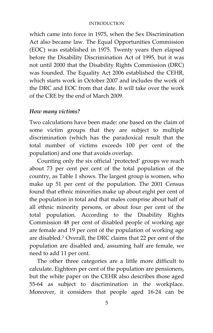#### INTRODUCTION

which came into force in 1975, when the Sex Discrimination Act also became law. The Equal Opportunities Commission (EOC) was established in 1975. Twenty years then elapsed before the Disability Discrimination Act of 1995, but it was not until 2000 that the Disability Rights Commission (DRC) was founded. The Equality Act 2006 established the CEHR, which starts work in October 2007 and includes the work of the DRC and EOC from that date. It will take over the work of the CRE by the end of March 2009.

## *How many victims?*

Two calculations have been made: one based on the claim of some victim groups that they are subject to multiple discrimination (which has the paradoxical result that the total number of victims exceeds 100 per cent of the population) and one that avoids overlap.

Counting only the six official 'protected' groups we reach about 73 per cent per cent of the total population of the country, as Table 1 shows. The largest group is women, who make up 51 per cent of the population. The 2001 Census found that ethnic minorities make up about eight per cent of the population in total and that males comprise about half of all ethnic minority persons, or about four per cent of the total population. According to the Disability Rights Commission 48 per cent of disabled people of working age are female and 19 per cent of the population of working age are disabled.[2](#page-95-1) Overall, the DRC claims that 22 per cent of the population are disabled and, assuming half are female, we need to add 11 per cent.

The other three categories are a little more difficult to calculate. Eighteen per cent of the population are pensioners, but the white paper on the CEHR also describes those aged 55‐64 as subject to discrimination in the workplace. Moreover, it considers that people aged 16‐24 can be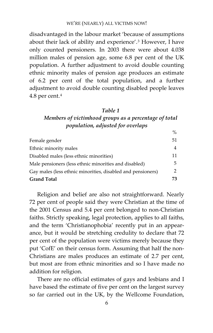disadvantaged in the labour market 'because of assumptions about their lack of ability and experience'.[3](#page-95-1) However, I have only counted pensioners. In 2003 there were about 4.038 million males of pension age, some 6.8 per cent of the UK population. A further adjustment to avoid double counting ethnic minority males of pension age produces an estimate of 6.2 per cent of the total population, and a further adjustment to avoid double counting disabled people leaves [4](#page-95-1).8 per cent. $4$ 

#### *Table 1*

### *Members of victimhood groups as a percentage of total population, adjusted for overlaps*

|                                                             | $\%$ |
|-------------------------------------------------------------|------|
| Female gender                                               | 51   |
| Ethnic minority males                                       |      |
| Disabled males (less ethnic minorities)                     | 11   |
| Male pensioners (less ethnic minorities and disabled)       | h    |
| Gay males (less ethnic minorities, disabled and pensioners) |      |
| <b>Grand Total</b>                                          | 73   |

Religion and belief are also not straightforward. Nearly 72 per cent of people said they were Christian at the time of the 2001 Census and 5.4 per cent belonged to non‐Christian faiths. Strictly speaking, legal protection, applies to all faiths, and the term 'Christianophobia' recently put in an appear‐ ance, but it would be stretching credulity to declare that 72 per cent of the population were victims merely because they put 'CofE' on their census form. Assuming that half the non-Christians are males produces an estimate of 2.7 per cent, but most are from ethnic minorities and so I have made no addition for religion.

There are no official estimates of gays and lesbians and I have based the estimate of five per cent on the largest survey so far carried out in the UK, by the Wellcome Foundation,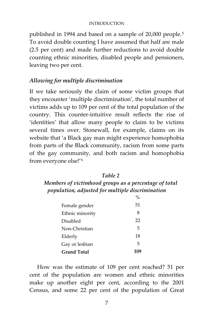#### INTRODUCTION

published in 1994 and based on a sample of 20,000 people.<sup>[5](#page-95-1)</sup> To avoid double counting I have assumed that half are male (2.5 per cent) and made further reductions to avoid double counting ethnic minorities, disabled people and pensioners, leaving two per cent.

#### *Allowing for multiple discrimination*

If we take seriously the claim of some victim groups that they encounter 'multiple discrimination', the total number of victims adds up to 109 per cent of the total population of the country. This counter‐intuitive result reflects the rise of 'identities' that allow many people to claim to be victims several times over. Stonewall, for example, claims on its website that 'a Black gay man might experience homophobia from parts of the Black community, racism from some parts of the gay community, and both racism and homophobia from everyone else!'[6](#page-95-1)

#### *Table 2*

## *Members of victimhood groups as a percentage of total population, adjusted for multiple discrimination*

|                    | $\frac{0}{0}$ |
|--------------------|---------------|
| Female gender      | 51            |
| Ethnic minority    | 8             |
| Disabled           | 22            |
| Non-Christian      | 5             |
| Elderly            | 18            |
| Gay or lesbian     | 5             |
| <b>Grand Total</b> | 109           |

How was the estimate of 109 per cent reached? 51 per cent of the population are women and ethnic minorities make up another eight per cent, according to the 2001 Census, and some 22 per cent of the population of Great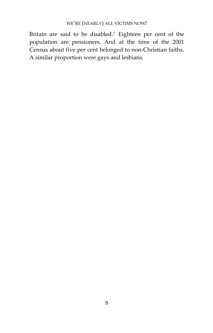Britain are said to be disabled.<sup>[7](#page-95-1)</sup> Eighteen per cent of the population are pensioners. And at the time of the 2001 Census about five per cent belonged to non‐Christian faiths. A similar proportion were gays and lesbians.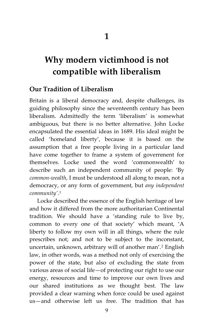# **Why modern victimhood is not compatible with liberalism**

## **Our Tradition of Liberalism**

Britain is a liberal democracy and, despite challenges, its guiding philosophy since the seventeenth century has been liberalism. Admittedly the term 'liberalism' is somewhat ambiguous, but there is no better alternative. John Locke encapsulated the essential ideas in 1689. His ideal might be called 'homeland liberty', because it is based on the assumption that a free people living in a particular land have come together to frame a system of government for themselves. Locke used the word 'commonwealth' to describe such an independent community of people: 'By *common‐wealth*, I must be understood all along to mean, not a democracy, or any form of government, but *any independent community'*. [1](#page-95-1)

Locke described the essence of the English heritage of law and how it differed from the more authoritarian Continental tradition. We should have a 'standing rule to live by, common to every one of that society' which meant, 'A liberty to follow my own will in all things, where the rule prescribes not; and not to be subject to the inconstant, uncertain, unknown, arbitrary will of another man'.[2](#page-95-1) English law, in other words, was a method not only of exercising the power of the state, but also of excluding the state from various areas of social life—of protecting our right to use our energy, resources and time to improve our own lives and our shared institutions as we thought best. The law provided a clear warning when force could be used against us—and otherwise left us free. The tradition that has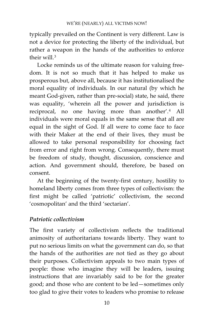typically prevailed on the Continent is very different. Law is not a device for protecting the liberty of the individual, but rather a weapon in the hands of the authorities to enforce their will $3$ 

Locke reminds us of the ultimate reason for valuing free‐ dom. It is not so much that it has helped to make us prosperous but, above all, because it has institutionalised the moral equality of individuals. In our natural (by which he meant God‐given, rather than pre‐social) state, he said, there was equality, 'wherein all the power and jurisdiction is reciprocal, no one having more than another'.[4](#page-95-1) All individuals were moral equals in the same sense that all are equal in the sight of God. If all were to come face to face with their Maker at the end of their lives, they must be allowed to take personal responsibility for choosing fact from error and right from wrong. Consequently, there must be freedom of study, thought, discussion, conscience and action. And government should, therefore, be based on consent.

At the beginning of the twenty‐first century, hostility to homeland liberty comes from three types of collectivism: the first might be called 'patriotic' collectivism, the second 'cosmopolitan' and the third 'sectarian'.

## *Patriotic collectivism*

The first variety of collectivism reflects the traditional animosity of authoritarians towards liberty. They want to put no serious limits on what the government can do, so that the hands of the authorities are not tied as they go about their purposes. Collectivism appeals to two main types of people: those who imagine they will be leaders, issuing instructions that are invariably said to be for the greater good; and those who are content to be led—sometimes only too glad to give their votes to leaders who promise to release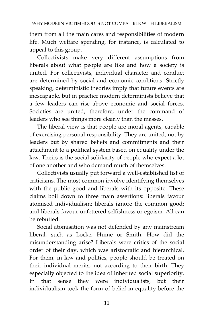them from all the main cares and responsibilities of modern life. Much welfare spending, for instance, is calculated to appeal to this group.

Collectivists make very different assumptions from liberals about what people are like and how a society is united. For collectivists, individual character and conduct are determined by social and economic conditions. Strictly speaking, deterministic theories imply that future events are inescapable, but in practice modern determinists believe that a few leaders can rise above economic and social forces. Societies are united, therefore, under the command of leaders who see things more clearly than the masses.

The liberal view is that people are moral agents, capable of exercising personal responsibility. They are united, not by leaders but by shared beliefs and commitments and their attachment to a political system based on equality under the law. Theirs is the social solidarity of people who expect a lot of one another and who demand much of themselves.

Collectivists usually put forward a well‐established list of criticisms. The most common involve identifying themselves with the public good and liberals with its opposite. These claims boil down to three main assertions: liberals favour atomised individualism; liberals ignore the common good; and liberals favour unfettered selfishness or egoism. All can be rebutted.

Social atomisation was not defended by any mainstream liberal, such as Locke, Hume or Smith. How did the misunderstanding arise? Liberals were critics of the social order of their day, which was aristocratic and hierarchical. For them, in law and politics, people should be treated on their individual merits, not according to their birth. They especially objected to the idea of inherited social superiority. In that sense they were individualists, but their individualism took the form of belief in equality before the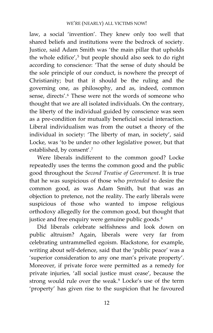law, a social 'invention'. They knew only too well that shared beliefs and institutions were the bedrock of society. Justice, said Adam Smith was 'the main pillar that upholds the whole edifice',<sup>[5](#page-95-1)</sup> but people should also seek to do right according to conscience: 'That the sense of duty should be the sole principle of our conduct, is nowhere the precept of Christianity; but that it should be the ruling and the governing one, as philosophy, and as, indeed, common sense, directs'.<sup>[6](#page-95-1)</sup> These were not the words of someone who thought that we are all isolated individuals. On the contrary, the liberty of the individual guided by conscience was seen as a pre‐condition for mutually beneficial social interaction. Liberal individualism was from the outset a theory of the individual in society: 'The liberty of man, in society', said Locke, was 'to be under no other legislative power, but that established, by consent'.[7](#page-95-1)

Were liberals indifferent to the common good? Locke repeatedly uses the terms the common good and the public good throughout the *Second Treatise of Government*. It is true that he was suspicious of those who *pretended* to desire the common good, as was Adam Smith, but that was an objection to pretence, not the reality. The early liberals were suspicious of those who wanted to impose religious orthodoxy allegedly for the common good, but thought that justice and free enquiry were genuine public goods.<sup>[8](#page-95-1)</sup>

Did liberals celebrate selfishness and look down on public altruism? Again, liberals were very far from celebrating untrammelled egoism. Blackstone, for example, writing about self‐defence, said that the 'public peace' was a 'superior consideration to any one man's private property'. Moreover, if private force were permitted as a remedy for private injuries, 'all social justice must cease', because the strong would rule over the weak.<sup>[9](#page-95-1)</sup> Locke's use of the term 'property' has given rise to the suspicion that he favoured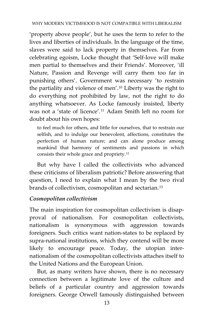'property above people', but he uses the term to refer to the lives and liberties of individuals. In the language of the time, slaves were said to lack property in themselves. Far from celebrating egoism, Locke thought that 'Self‐love will make men partial to themselves and their Friends'. Moreover, 'ill Nature, Passion and Revenge will carry them too far in punishing others'. Government was necessary 'to restrain the partiality and violence of men'[.10](#page-95-1) Liberty was the right to do everything not prohibited by law, not the right to do anything whatsoever. As Locke famously insisted, liberty was not a 'state of licence'.[11](#page-95-1) Adam Smith left no room for doubt about his own hopes:

to feel much for others, and little for ourselves, that to restrain our selfish, and to indulge our benevolent, affections, constitutes the perfection of human nature; and can alone produce among mankind that harmony of sentiments and passions in which consists their whole grace and propriety.[12](#page-95-1)

But why have I called the collectivists who advanced these criticisms of liberalism patriotic? Before answering that question, I need to explain what I mean by the two rival brands of collectivism, cosmopolitan and sectarian.<sup>[13](#page-95-1)</sup>

## *Cosmopolitan collectivism*

The main inspiration for cosmopolitan collectivism is disapproval of nationalism. For cosmopolitan collectivists, nationalism is synonymous with aggression towards foreigners. Such critics want nation‐states to be replaced by supra‐national institutions, which they contend will be more likely to encourage peace. Today, the utopian inter‐ nationalism of the cosmopolitan collectivists attaches itself to the United Nations and the European Union.

But, as many writers have shown, there is no necessary connection between a legitimate love of the culture and beliefs of a particular country and aggression towards foreigners. George Orwell famously distinguished between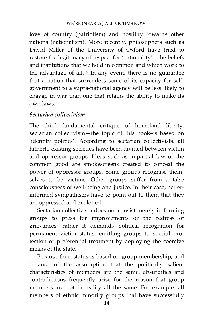love of country (patriotism) and hostility towards other nations (nationalism). More recently, philosophers such as David Miller of the University of Oxford have tried to restore the legitimacy of respect for 'nationality'—the beliefs and institutions that we hold in common and which work to the advantage of all.[14](#page-95-1) In any event, there is no guarantee that a nation that surrenders some of its capacity for self‐ government to a supra‐national agency will be less likely to engage in war than one that retains the ability to make its own laws.

### *Sectarian collectivism*

The third fundamental critique of homeland liberty, sectarian collectivism—the topic of this book–is based on 'identity politics'. According to sectarian collectivists, all hitherto existing societies have been divided between victim and oppressor groups. Ideas such as impartial law or the common good are smokescreens created to conceal the power of oppressor groups. Some groups recognise them‐ selves to be victims. Other groups suffer from a false consciousness of well‐being and justice. In their case, better‐ informed sympathisers have to point out to them that they are oppressed and exploited.

Sectarian collectivism does not consist merely in forming groups to press for improvements or the redress of grievances; rather it demands political recognition for permanent victim status, entitling groups to special pro‐ tection or preferential treatment by deploying the coercive means of the state.

Because their status is based on group membership, and because of the assumption that the politically salient characteristics of members are the same, absurdities and contradictions frequently arise for the reason that group members are not in reality all the same. For example, all members of ethnic minority groups that have successfully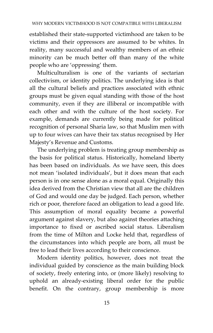established their state‐supported victimhood are taken to be victims and their oppressors are assumed to be whites. In reality, many successful and wealthy members of an ethnic minority can be much better off than many of the white people who are 'oppressing' them.

Multiculturalism is one of the variants of sectarian collectivism, or identity politics. The underlying idea is that all the cultural beliefs and practices associated with ethnic groups must be given equal standing with those of the host community, even if they are illiberal or incompatible with each other and with the culture of the host society. For example, demands are currently being made for political recognition of personal Sharia law, so that Muslim men with up to four wives can have their tax status recognised by Her Majesty's Revenue and Customs.

The underlying problem is treating group membership as the basis for political status. Historically, homeland liberty has been based on individuals. As we have seen, this does not mean 'isolated individuals', but it does mean that each person is in one sense alone as a moral equal. Originally this idea derived from the Christian view that all are the children of God and would one day be judged. Each person, whether rich or poor, therefore faced an obligation to lead a good life. This assumption of moral equality became a powerful argument against slavery, but also against theories attaching importance to fixed or ascribed social status. Liberalism from the time of Milton and Locke held that, regardless of the circumstances into which people are born, all must be free to lead their lives according to their conscience.

Modern identity politics, however, does not treat the individual guided by conscience as the main building block of society, freely entering into, or (more likely) resolving to uphold an already‐existing liberal order for the public benefit. On the contrary, group membership is more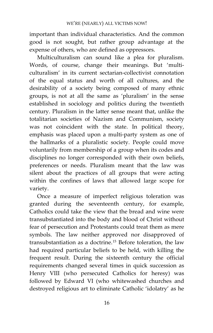important than individual characteristics. And the common good is not sought, but rather group advantage at the expense of others, who are defined as oppressors.

Multiculturalism can sound like a plea for pluralism. Words, of course, change their meanings. But 'multiculturalism' in its current sectarian‐collectivist connotation of the equal status and worth of all cultures, and the desirability of a society being composed of many ethnic groups, is not at all the same as 'pluralism' in the sense established in sociology and politics during the twentieth century. Pluralism in the latter sense meant that, unlike the totalitarian societies of Nazism and Communism, society was not coincident with the state. In political theory, emphasis was placed upon a multi-party system as one of the hallmarks of a pluralistic society. People could move voluntarily from membership of a group when its codes and disciplines no longer corresponded with their own beliefs, preferences or needs. Pluralism meant that the law was silent about the practices of all groups that were acting within the confines of laws that allowed large scope for variety.

Once a measure of imperfect religious toleration was granted during the seventeenth century, for example, Catholics could take the view that the bread and wine were transubstantiated into the body and blood of Christ without fear of persecution and Protestants could treat them as mere symbols. The law neither approved nor disapproved of transubstantiation as a doctrine.[15](#page-95-1) Before toleration, the law had required particular beliefs to be held, with killing the frequent result. During the sixteenth century the official requirements changed several times in quick succession as Henry VIII (who persecuted Catholics for heresy) was followed by Edward VI (who whitewashed churches and destroyed religious art to eliminate Catholic 'idolatry' as he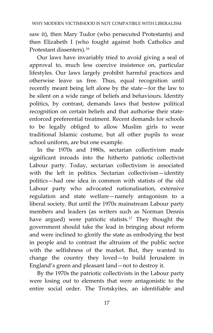saw it), then Mary Tudor (who persecuted Protestants) and then Elizabeth I (who fought against both Catholics and Protestant dissenters).<sup>[16](#page-95-1)</sup>

Our laws have invariably tried to avoid giving a seal of approval to, much less coercive insistence on, particular lifestyles. Our laws largely prohibit harmful practices and otherwise leave us free. Thus, equal recognition until recently meant being left alone by the state—for the law to be silent on a wide range of beliefs and behaviours. Identity politics, by contrast, demands laws that bestow political recognition on certain beliefs and that authorise their state‐ enforced preferential treatment. Recent demands for schools to be legally obliged to allow Muslim girls to wear traditional Islamic costume, but all other pupils to wear school uniform, are but one example.

In the 1970s and 1980s, sectarian collectivism made significant inroads into the hitherto patriotic collectivist Labour party. Today, sectarian collectivism is associated with the left in politics. Sectarian collectivism—identity politics—had one idea in common with statists of the old Labour party who advocated nationalisation, extensive regulation and state welfare—namely antagonism to a liberal society. But until the 1970s mainstream Labour party members and leaders (as writers such as Norman Dennis have argued) were patriotic statists.<sup>[17](#page-95-1)</sup> They thought the government should take the lead in bringing about reform and were inclined to glorify the state as embodying the best in people and to contrast the altruism of the public sector with the selfishness of the market. But, they wanted to change the country they loved—to build Jerusalem in England's green and pleasant land—not to destroy it.

By the 1970s the patriotic collectivists in the Labour party were losing out to elements that were antagonistic to the entire social order. The Trotskyites, an identifiable and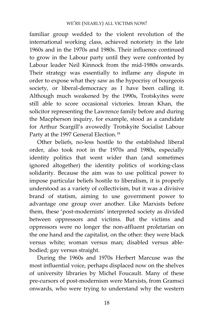familiar group wedded to the violent revolution of the international working class, achieved notoriety in the late 1960s and in the 1970s and 1980s. Their influence continued to grow in the Labour party until they were confronted by Labour leader Neil Kinnock from the mid‐1980s onwards. Their strategy was essentially to inflame any dispute in order to expose what they saw as the hypocrisy of bourgeois society, or liberal-democracy as I have been calling it. Although much weakened by the 1990s, Trotskyites were still able to score occasional victories. Imran Khan, the solicitor representing the Lawrence family before and during the Macpherson inquiry, for example, stood as a candidate for Arthur Scargill's avowedly Trotskyite Socialist Labour Party at the 1997 General Election.<sup>[18](#page-95-1)</sup>

Other beliefs, no‐less hostile to the established liberal order, also took root in the 1970s and 1980s, especially identity politics that went wider than (and sometimes ignored altogether) the identity politics of working‐class solidarity. Because the aim was to use political power to impose particular beliefs hostile to liberalism, it is properly understood as a variety of collectivism, but it was a divisive brand of statism, aiming to use government power to advantage one group over another. Like Marxists before them, these 'post-modernists' interpreted society as divided between oppressors and victims. But the victims and oppressors were no longer the non‐affluent proletarian on the one hand and the capitalist, on the other: they were black versus white; woman versus man; disabled versus able‐ bodied; gay versus straight.

During the 1960s and 1970s Herbert Marcuse was the most influential voice, perhaps displaced now on the shelves of university libraries by Michel Foucault. Many of these pre‐cursors of post‐modernism were Marxists, from Gramsci onwards, who were trying to understand why the western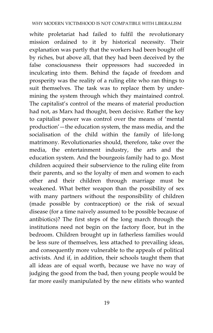#### WHY MODERN VICTIMHOOD IS NOT COMPATIBLE WITH LIBERALISM

white proletariat had failed to fulfil the revolutionary mission ordained to it by historical necessity. Their explanation was partly that the workers had been bought off by riches, but above all, that they had been deceived by the false consciousness their oppressors had succeeded in inculcating into them. Behind the façade of freedom and prosperity was the reality of a ruling elite who ran things to suit themselves. The task was to replace them by undermining the system through which they maintained control. The capitalist's control of the means of material production had not, as Marx had thought, been decisive. Rather the key to capitalist power was control over the means of 'mental production'—the education system, the mass media, and the socialisation of the child within the family of life-long matrimony. Revolutionaries should, therefore, take over the media, the entertainment industry, the arts and the education system. And the bourgeois family had to go. Most children acquired their subservience to the ruling elite from their parents, and so the loyalty of men and women to each other and their children through marriage must be weakened. What better weapon than the possibility of sex with many partners without the responsibility of children (made possible by contraception) or the risk of sexual disease (for a time naively assumed to be possible because of antibiotics)? The first steps of the long march through the institutions need not begin on the factory floor, but in the bedroom. Children brought up in fatherless families would be less sure of themselves, less attached to prevailing ideas, and consequently more vulnerable to the appeals of political activists. And if, in addition, their schools taught them that all ideas are of equal worth, because we have no way of judging the good from the bad, then young people would be far more easily manipulated by the new elitists who wanted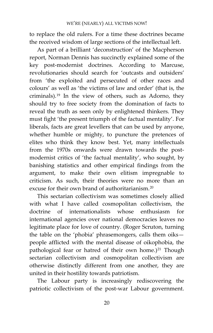to replace the old rulers. For a time these doctrines became the received wisdom of large sections of the intellectual left.

As part of a brilliant 'deconstruction' of the Macpherson report, Norman Dennis has succinctly explained some of the key post-modernist doctrines. According to Marcuse, revolutionaries should search for 'outcasts and outsiders' from 'the exploited and persecuted of other races and colours' as well as 'the victims of law and order' (that is, the criminals).[19](#page-95-1) In the view of others, such as Adorno, they should try to free society from the domination of facts to reveal the truth as seen only by enlightened thinkers. They must fight 'the present triumph of the factual mentality'. For liberals, facts are great levellers that can be used by anyone, whether humble or mighty, to puncture the pretences of elites who think they know best. Yet, many intellectuals from the 1970s onwards were drawn towards the postmodernist critics of 'the factual mentality', who sought, by banishing statistics and other empirical findings from the argument, to make their own elitism impregnable to criticism. As such, their theories were no more than an excuse for their own brand of authoritarianism.[20](#page-95-1)

This sectarian collectivism was sometimes closely allied with what I have called cosmopolitan collectivism, the doctrine of internationalists whose enthusiasm for international agencies over national democracies leaves no legitimate place for love of country. (Roger Scruton, turning the table on the 'phobia' phrasemongers, calls them oiks people afflicted with the mental disease of oikophobia, the pathological fear or hatred of their own home.)<sup>[21](#page-95-1)</sup> Though sectarian collectivism and cosmopolitan collectivism are otherwise distinctly different from one another, they are united in their hostility towards patriotism.

The Labour party is increasingly rediscovering the patriotic collectivism of the post‐war Labour government.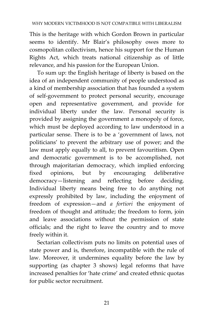This is the heritage with which Gordon Brown in particular seems to identify. Mr Blair's philosophy owes more to cosmopolitan collectivism, hence his support for the Human Rights Act, which treats national citizenship as of little relevance, and his passion for the European Union.

To sum up: the English heritage of liberty is based on the idea of an independent community of people understood as a kind of membership association that has founded a system of self‐government to protect personal security, encourage open and representative government, and provide for individual liberty under the law. Personal security is provided by assigning the government a monopoly of force, which must be deployed according to law understood in a particular sense. There is to be a 'government of laws, not politicians' to prevent the arbitrary use of power; and the law must apply equally to all, to prevent favouritism. Open and democratic government is to be accomplished, not through majoritarian democracy, which implied enforcing fixed opinions, but by encouraging deliberative democracy—listening and reflecting before deciding. Individual liberty means being free to do anything not expressly prohibited by law, including the enjoyment of freedom of expression—and *a fortiori* the enjoyment of freedom of thought and attitude; the freedom to form, join and leave associations without the permission of state officials; and the right to leave the country and to move freely within it.

Sectarian collectivism puts no limits on potential uses of state power and is, therefore, incompatible with the rule of law. Moreover, it undermines equality before the law by supporting (as chapter 3 shows) legal reforms that have increased penalties for 'hate crime' and created ethnic quotas for public sector recruitment.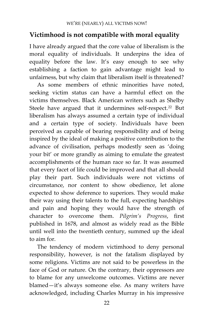# **Victimhood is not compatible with moral equality**

I have already argued that the core value of liberalism is the moral equality of individuals. It underpins the idea of equality before the law. It's easy enough to see why establishing a faction to gain advantage might lead to unfairness, but why claim that liberalism itself is threatened?

As some members of ethnic minorities have noted, seeking victim status can have a harmful effect on the victims themselves. Black American writers such as Shelby Steele have argued that it undermines self-respect.<sup>[22](#page-95-1)</sup> But liberalism has always assumed a certain type of individual and a certain type of society. Individuals have been perceived as capable of bearing responsibility and of being inspired by the ideal of making a positive contribution to the advance of civilisation, perhaps modestly seen as 'doing your bit' or more grandly as aiming to emulate the greatest accomplishments of the human race so far. It was assumed that every facet of life could be improved and that all should play their part. Such individuals were not victims of circumstance, nor content to show obedience, let alone expected to show deference to superiors. They would make their way using their talents to the full, expecting hardships and pain and hoping they would have the strength of character to overcome them. *Pilgrim's Progress*, first published in 1678, and almost as widely read as the Bible until well into the twentieth century, summed up the ideal to aim for.

The tendency of modern victimhood to deny personal responsibility, however, is not the fatalism displayed by some religions. Victims are not said to be powerless in the face of God or nature. On the contrary, their oppressors are to blame for any unwelcome outcomes. Victims are never blamed—it's always someone else. As many writers have acknowledged, including Charles Murray in his impressive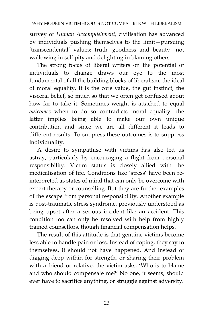survey of *Human Accomplishment*, civilisation has advanced by individuals pushing themselves to the limit—pursuing 'transcendental' values: truth, goodness and beauty—not wallowing in self pity and delighting in blaming others.

The strong focus of liberal writers on the potential of individuals to change draws our eye to the most fundamental of all the building blocks of liberalism, the ideal of moral equality. It is the core value, the gut instinct, the visceral belief, so much so that we often get confused about how far to take it. Sometimes weight is attached to equal *outcomes* when to do so contradicts moral equality—the latter implies being able to make our own unique contribution and since we are all different it leads to different results. To suppress these outcomes is to suppress individuality.

A desire to sympathise with victims has also led us astray, particularly by encouraging a flight from personal responsibility. Victim status is closely allied with the medicalisation of life. Conditions like 'stress' have been re‐ interpreted as states of mind that can only be overcome with expert therapy or counselling. But they are further examples of the escape from personal responsibility. Another example is post-traumatic stress syndrome, previously understood as being upset after a serious incident like an accident. This condition too can only be resolved with help from highly trained counsellors, though financial compensation helps.

The result of this attitude is that genuine victims become less able to handle pain or loss. Instead of coping, they say to themselves, it should not have happened. And instead of digging deep within for strength, or sharing their problem with a friend or relative, the victim asks, 'Who is to blame and who should compensate me?' No one, it seems, should ever have to sacrifice anything, or struggle against adversity.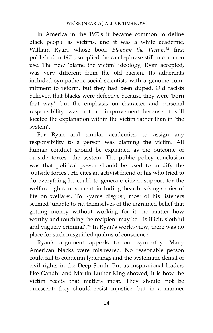In America in the 1970s it became common to define black people as victims, and it was a white academic, William Ryan, whose book *Blaming the Victim*,[23](#page-95-1) first published in 1971, supplied the catch‐phrase still in common use. The new 'blame the victim' ideology, Ryan accepted, was very different from the old racism. Its adherents included sympathetic social scientists with a genuine com‐ mitment to reform, but they had been duped. Old racists believed that blacks were defective because they were 'born that way', but the emphasis on character and personal responsibility was not an improvement because it still located the explanation within the victim rather than in 'the system'.

For Ryan and similar academics, to assign any responsibility to a person was blaming the victim. All human conduct should be explained as the outcome of outside forces—the system. The public policy conclusion was that political power should be used to modify the 'outside forces'. He cites an activist friend of his who tried to do everything he could to generate citizen support for the welfare rights movement, including 'heartbreaking stories of life on welfare'. To Ryan's disgust, most of his listeners seemed 'unable to rid themselves of the ingrained belief that getting money without working for it—no matter how worthy and touching the recipient may be—is illicit, slothful and vaguely criminal'.<sup>[24](#page-95-1)</sup> In Ryan's world-view, there was no place for such misguided qualms of conscience.

Ryan's argument appeals to our sympathy. Many American blacks were mistreated. No reasonable person could fail to condemn lynchings and the systematic denial of civil rights in the Deep South. But as inspirational leaders like Gandhi and Martin Luther King showed, it is how the victim reacts that matters most. They should not be quiescent; they should resist injustice, but in a manner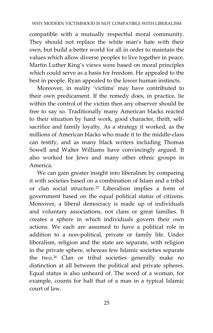compatible with a mutually respectful moral community. They should not replace the white man's hate with their own, but build a better world for all in order to maintain the values which allow diverse peoples to live together in peace. Martin Luther King's views were based on moral principles which could serve as a basis for freedom. He appealed to the best in people. Ryan appealed to the lower human instincts.

Moreover, in reality 'victims' may have contributed to their own predicament. If the remedy does, in practice, lie within the control of the victim then any observer should be free to say so. Traditionally many American blacks reacted to their situation by hard work, good character, thrift, selfsacrifice and family loyalty. As a strategy it worked, as the millions of American blacks who made it to the middle‐class can testify, and as many black writers including Thomas Sowell and Walter Williams have convincingly argued. It also worked for Jews and many other ethnic groups in America.

We can gain greater insight into liberalism by comparing it with societies based on a combination of Islam and a tribal or clan social structure.[25](#page-95-1) Liberalism implies a form of government based on the equal political status of citizens. Moreover, a liberal democracy is made up of individuals and voluntary associations, not clans or great families. It creates a sphere in which individuals govern their own actions. We each are assumed to have a political role in addition to a non‐political, private or family life. Under liberalism, religion and the state are separate, with religion in the private sphere, whereas few Islamic societies separate the two.[26](#page-95-1) Clan or tribal societies generally make no distinction at all between the political and private spheres. Equal status is also unheard of. The word of a woman, for example, counts for half that of a man in a typical Islamic court of law.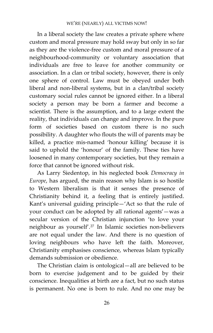In a liberal society the law creates a private sphere where custom and moral pressure may hold sway but only in so far as they are the violence‐free custom and moral pressure of a neighbourhood‐community or voluntary association that individuals are free to leave for another community or association. In a clan or tribal society, however, there is only one sphere of control. Law must be obeyed under both liberal and non‐liberal systems, but in a clan/tribal society customary social rules cannot be ignored either. In a liberal society a person may be born a farmer and become a scientist. There is the assumption, and to a large extent the reality, that individuals can change and improve. In the pure form of societies based on custom there is no such possibility. A daughter who flouts the will of parents may be killed, a practice mis-named 'honour killing' because it is said to uphold the 'honour' of the family. These ties have loosened in many contemporary societies, but they remain a force that cannot be ignored without risk.

As Larry Siedentop, in his neglected book *Democracy in Europe*, has argued, the main reason why Islam is so hostile to Western liberalism is that it senses the presence of Christianity behind it, a feeling that is entirely justified. Kant's universal guiding principle—'Act so that the rule of your conduct can be adopted by all rational agents'—was a secular version of the Christian injunction 'to love your neighbour as yourself'.[27](#page-95-1) In Islamic societies non‐believers are not equal under the law. And there is no question of loving neighbours who have left the faith. Moreover, Christianity emphasises conscience, whereas Islam typically demands submission or obedience.

The Christian claim is ontological—all are believed to be born to exercise judgement and to be guided by their conscience. Inequalities at birth are a fact, but no such status is permanent. No one is born to rule. And no one may be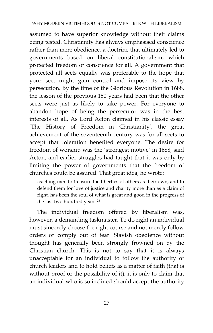assumed to have superior knowledge without their claims being tested. Christianity has always emphasised conscience rather than mere obedience, a doctrine that ultimately led to governments based on liberal constitutionalism, which protected freedom of conscience for all. A government that protected all sects equally was preferable to the hope that your sect might gain control and impose its view by persecution. By the time of the Glorious Revolution in 1688, the lesson of the previous 150 years had been that the other sects were just as likely to take power. For everyone to abandon hope of being the persecutor was in the best interests of all. As Lord Acton claimed in his classic essay 'The History of Freedom in Christianity', the great achievement of the seventeenth century was for all sects to accept that toleration benefited everyone. The desire for freedom of worship was the 'strongest motive' in 1688, said Acton, and earlier struggles had taught that it was only by limiting the power of governments that the freedom of churches could be assured. That great idea, he wrote:

teaching men to treasure the liberties of others as their own, and to defend them for love of justice and charity more than as a claim of right, has been the soul of what is great and good in the progress of the last two hundred years.<sup>[28](#page-95-0)</sup>

The individual freedom offered by liberalism was, however, a demanding taskmaster. To do right an individual must sincerely choose the right course and not merely follow orders or comply out of fear. Slavish obedience without thought has generally been strongly frowned on by the Christian church. This is not to say that it is always unacceptable for an individual to follow the authority of church leaders and to hold beliefs as a matter of faith (that is without proof or the possibility of it), it is only to claim that an individual who is so inclined should accept the authority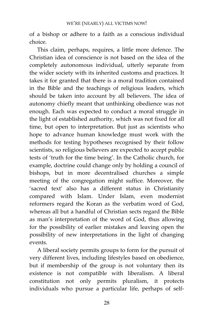of a bishop or adhere to a faith as a conscious individual choice.

This claim, perhaps, requires, a little more defence. The Christian idea of conscience is not based on the idea of the completely autonomous individual, utterly separate from the wider society with its inherited customs and practices. It takes it for granted that there is a moral tradition contained in the Bible and the teachings of religious leaders, which should be taken into account by all believers. The idea of autonomy chiefly meant that unthinking obedience was not enough. Each was expected to conduct a moral struggle in the light of established authority, which was not fixed for all time, but open to interpretation. But just as scientists who hope to advance human knowledge must work with the methods for testing hypotheses recognised by their follow scientists, so religious believers are expected to accept public tests of 'truth for the time being'. In the Catholic church, for example, doctrine could change only by holding a council of bishops, but in more decentralised churches a simple meeting of the congregation might suffice. Moreover, the 'sacred text' also has a different status in Christianity compared with Islam. Under Islam, even modernist reformers regard the Koran as the verbatim word of God, whereas all but a handful of Christian sects regard the Bible as man's interpretation of the word of God, thus allowing for the possibility of earlier mistakes and leaving open the possibility of new interpretations in the light of changing events.

A liberal society permits groups to form for the pursuit of very different lives, including lifestyles based on obedience, but if membership of the group is not voluntary then its existence is not compatible with liberalism. A liberal constitution not only permits pluralism, it protects individuals who pursue a particular life, perhaps of self‐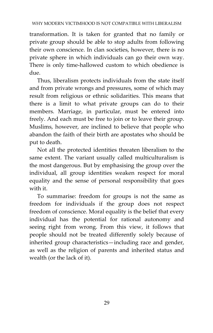transformation. It is taken for granted that no family or private group should be able to stop adults from following their own conscience. In clan societies, however, there is no private sphere in which individuals can go their own way. There is only time-hallowed custom to which obedience is due.

Thus, liberalism protects individuals from the state itself and from private wrongs and pressures, some of which may result from religious or ethnic solidarities. This means that there is a limit to what private groups can do to their members. Marriage, in particular, must be entered into freely. And each must be free to join or to leave their group. Muslims, however, are inclined to believe that people who abandon the faith of their birth are apostates who should be put to death.

Not all the protected identities threaten liberalism to the same extent. The variant usually called multiculturalism is the most dangerous. But by emphasising the group over the individual, all group identities weaken respect for moral equality and the sense of personal responsibility that goes with it.

To summarise: freedom for groups is not the same as freedom for individuals if the group does not respect freedom of conscience. Moral equality is the belief that every individual has the potential for rational autonomy and seeing right from wrong. From this view, it follows that people should not be treated differently solely because of inherited group characteristics—including race and gender, as well as the religion of parents and inherited status and wealth (or the lack of it).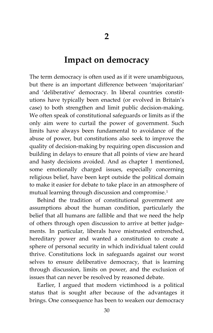# **Impact on democracy**

The term democracy is often used as if it were unambiguous, but there is an important difference between 'majoritarian' and 'deliberative' democracy. In liberal countries constitutions have typically been enacted (or evolved in Britain's case) to both strengthen and limit public decision‐making. We often speak of constitutional safeguards or limits as if the only aim were to curtail the power of government. Such limits have always been fundamental to avoidance of the abuse of power, but constitutions also seek to improve the quality of decision‐making by requiring open discussion and building in delays to ensure that all points of view are heard and hasty decisions avoided. And as chapter 1 mentioned, some emotionally charged issues, especially concerning religious belief, have been kept outside the political domain to make it easier for debate to take place in an atmosphere of mutual learning through discussion and compromise.<sup>[1](#page-95-0)</sup>

Behind the tradition of constitutional government are assumptions about the human condition, particularly the belief that all humans are fallible and that we need the help of others through open discussion to arrive at better judge‐ ments. In particular, liberals have mistrusted entrenched, hereditary power and wanted a constitution to create a sphere of personal security in which individual talent could thrive. Constitutions lock in safeguards against our worst selves to ensure deliberative democracy, that is learning through discussion, limits on power, and the exclusion of issues that can never be resolved by reasoned debate.

Earlier, I argued that modern victimhood is a political status that is sought after because of the advantages it brings. One consequence has been to weaken our democracy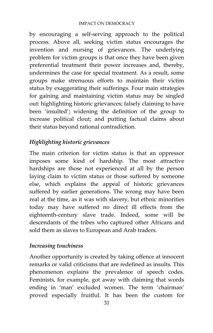by encouraging a self‐serving approach to the political process. Above all, seeking victim status encourages the invention and nursing of grievances. The underlying problem for victim groups is that once they have been given preferential treatment their power increases and, thereby, undermines the case for special treatment. As a result, some groups make strenuous efforts to maintain their victim status by exaggerating their sufferings. Four main strategies for gaining and maintaining victim status may be singled out: highlighting historic grievances; falsely claiming to have been 'insulted'; widening the definition of the group to increase political clout; and putting factual claims about their status beyond rational contradiction.

## *Highlighting historic grievances*

The main criterion for victim status is that an oppressor imposes some kind of hardship. The most attractive hardships are those not experienced at all by the person laying claim to victim status or those suffered by someone else, which explains the appeal of historic grievances suffered by earlier generations. The wrong may have been real at the time, as it was with slavery, but ethnic minorities today may have suffered no direct ill effects from the eighteenth‐century slave trade. Indeed, some will be descendants of the tribes who captured other Africans and sold them as slaves to European and Arab traders.

## *Increasing touchiness*

Another opportunity is created by taking offence at innocent remarks or valid criticisms that are redefined as insults. This phenomenon explains the prevalence of speech codes. Feminists, for example, got away with claiming that words ending in 'man' excluded women. The term 'chairman' proved especially fruitful. It has been the custom for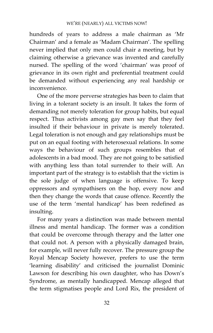hundreds of years to address a male chairman as 'Mr Chairman' and a female as 'Madam Chairman'. The spelling never implied that only men could chair a meeting, but by claiming otherwise a grievance was invented and carefully nursed. The spelling of the word 'chairman' was proof of grievance in its own right and preferential treatment could be demanded without experiencing any real hardship or inconvenience.

One of the more perverse strategies has been to claim that living in a tolerant society is an insult. It takes the form of demanding not merely toleration for group habits, but equal respect. Thus activists among gay men say that they feel insulted if their behaviour in private is merely tolerated. Legal toleration is not enough and gay relationships must be put on an equal footing with heterosexual relations. In some ways the behaviour of such groups resembles that of adolescents in a bad mood. They are not going to be satisfied with anything less than total surrender to their will. An important part of the strategy is to establish that the victim is the sole judge of when language is offensive. To keep oppressors and sympathisers on the hop, every now and then they change the words that cause offence. Recently the use of the term 'mental handicap' has been redefined as insulting.

For many years a distinction was made between mental illness and mental handicap. The former was a condition that could be overcome through therapy and the latter one that could not. A person with a physically damaged brain, for example, will never fully recover. The pressure group the Royal Mencap Society however, prefers to use the term 'learning disability' and criticised the journalist Dominic Lawson for describing his own daughter, who has Down's Syndrome, as mentally handicapped. Mencap alleged that the term stigmatises people and Lord Rix, the president of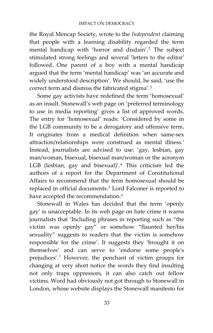the Royal Mencap Society, wrote to the *Independent* claiming that people with a learning disability regarded the term mental handicap with 'horror and disdain'.[2](#page-95-0) The subject stimulated strong feelings and several 'letters to the editor' followed. One parent of a boy with a mental handicap argued that the term 'mental handicap' was 'an accurate and widely understood description'. We should, he said, 'use the correct term and dismiss the fabricated stigma'.[3](#page-95-0)

Some gay activists have redefined the term 'homosexual' as an insult. Stonewall's web page on 'preferred terminology to use in media reporting' gives a list of approved words. The entry for 'homosexual' reads: 'Considered by some in the LGB community to be a derogatory and offensive term. It originates from a medical definition when same‐sex attraction/relationships were construed as mental illness.' Instead, journalists are advised to use: 'gay, lesbian, gay man/woman, bisexual, bisexual man/woman or the acronym LGB (lesbian, gay and bisexual)'.[4](#page-95-0) This criticism led the authors of a report for the Department of Constitutional Affairs to recommend that the term homosexual should be replaced in official documents.[5](#page-95-0) Lord Falconer is reported to have accepted the recommendation.<sup>[6](#page-95-0)</sup>

Stonewall in Wales has decided that the term 'openly gay' is unacceptable. In its web page on hate crime it warns journalists that 'Including phrases in reporting such as "the victim was openly gay" or somehow "flaunted her/his sexuality" suggests to readers that the victim is somehow responsible for the crime'. It suggests they 'brought it on themselves' and can serve to 'endorse some peopleʹs prejudices'.[7](#page-95-0) However, the penchant of victim groups for changing at very short notice the words they find insulting not only traps oppressors, it can also catch out fellow victims. Word had obviously not got through to Stonewall in London, whose website displays the Stonewall manifesto for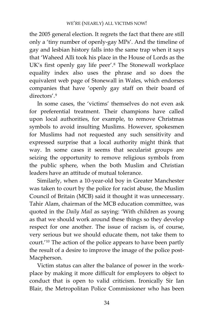the 2005 general election. It regrets the fact that there are still only a 'tiny number of openly‐gay MPs'. And the timeline of gay and lesbian history falls into the same trap when it says that 'Waheed Alli took his place in the House of Lords as the UK's first openly gay life peer'.[8](#page-95-0) The Stonewall workplace equality index also uses the phrase and so does the equivalent web page of Stonewall in Wales, which endorses companies that have 'openly gay staff on their board of directors'.[9](#page-95-0)

In some cases, the 'victims' themselves do not even ask for preferential treatment. Their champions have called upon local authorities, for example, to remove Christmas symbols to avoid insulting Muslims. However, spokesmen for Muslims had not requested any such sensitivity and expressed surprise that a local authority might think that way. In some cases it seems that secularist groups are seizing the opportunity to remove religious symbols from the public sphere, when the both Muslim and Christian leaders have an attitude of mutual tolerance.

Similarly, when a 10‐year‐old boy in Greater Manchester was taken to court by the police for racist abuse, the Muslim Council of Britain (MCB) said it thought it was unnecessary. Tahir Alam, chairman of the MCB education committee, was quoted in the *Daily Mail* as saying: 'With children as young as that we should work around these things so they develop respect for one another. The issue of racism is, of course, very serious but we should educate them, not take them to court.'[10](#page-95-0) The action of the police appears to have been partly the result of a desire to improve the image of the police post-Macpherson.

Victim status can alter the balance of power in the work‐ place by making it more difficult for employers to object to conduct that is open to valid criticism. Ironically Sir Ian Blair, the Metropolitan Police Commissioner who has been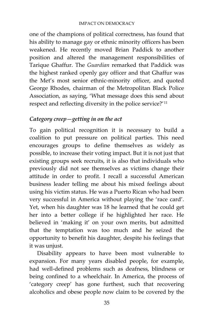#### IMPACT ON DEMOCRACY

one of the champions of political correctness, has found that his ability to manage gay or ethnic minority officers has been weakened. He recently moved Brian Paddick to another position and altered the management responsibilities of Tarique Ghaffur. The *Guardian* remarked that Paddick was the highest ranked openly gay officer and that Ghaffur was the Met's most senior ethnic‐minority officer, and quoted George Rhodes, chairman of the Metropolitan Black Police Association, as saying, 'What message does this send about respect and reflecting diversity in the police service?'[11](#page-95-0)

### *Category creep—getting in on the act*

To gain political recognition it is necessary to build a coalition to put pressure on political parties. This need encourages groups to define themselves as widely as possible, to increase their voting impact. But it is not just that existing groups seek recruits, it is also that individuals who previously did not see themselves as victims change their attitude in order to profit. I recall a successful American business leader telling me about his mixed feelings about using his victim status. He was a Puerto Rican who had been very successful in America without playing the 'race card'. Yet, when his daughter was 18 he learned that he could get her into a better college if he highlighted her race. He believed in 'making it' on your own merits, but admitted that the temptation was too much and he seized the opportunity to benefit his daughter, despite his feelings that it was unjust.

Disability appears to have been most vulnerable to expansion. For many years disabled people, for example, had well-defined problems such as deafness, blindness or being confined to a wheelchair. In America, the process of 'category creep' has gone furthest, such that recovering alcoholics and obese people now claim to be covered by the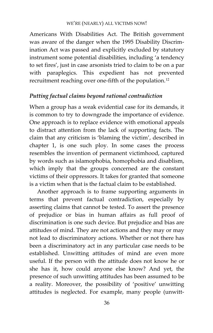#### WE'RE (NEARLY) ALL VICTIMS NOW!

Americans With Disabilities Act. The British government was aware of the danger when the 1995 Disability Discrim‐ ination Act was passed and explicitly excluded by statutory instrument some potential disabilities, including 'a tendency to set fires', just in case arsonists tried to claim to be on a par with paraplegics. This expedient has not prevented recruitment reaching over one-fifth of the population.<sup>[12](#page-95-0)</sup>

### *Putting factual claims beyond rational contradiction*

When a group has a weak evidential case for its demands, it is common to try to downgrade the importance of evidence. One approach is to replace evidence with emotional appeals to distract attention from the lack of supporting facts. The claim that any criticism is 'blaming the victim', described in chapter 1, is one such ploy. In some cases the process resembles the invention of permanent victimhood, captured by words such as islamophobia, homophobia and disablism, which imply that the groups concerned are the constant victims of their oppressors. It takes for granted that someone is a victim when that is the factual claim to be established.

Another approach is to frame supporting arguments in terms that prevent factual contradiction, especially by asserting claims that cannot be tested. To assert the presence of prejudice or bias in human affairs as full proof of discrimination is one such device. But prejudice and bias are attitudes of mind. They are not actions and they may or may not lead to discriminatory actions. Whether or not there has been a discriminatory act in any particular case needs to be established. Unwitting attitudes of mind are even more useful. If the person with the attitude does not know he or she has it, how could anyone else know? And yet, the presence of such unwitting attitudes has been assumed to be a reality. Moreover, the possibility of 'positive' unwitting attitudes is neglected. For example, many people (unwitt‐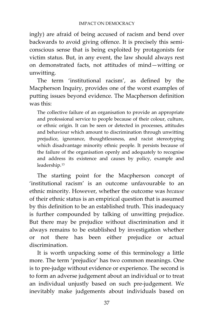ingly) are afraid of being accused of racism and bend over backwards to avoid giving offence. It is precisely this semi‐ conscious sense that is being exploited by protagonists for victim status. But, in any event, the law should always rest on demonstrated facts, not attitudes of mind—witting or unwitting.

The term 'institutional racism', as defined by the Macpherson Inquiry, provides one of the worst examples of putting issues beyond evidence. The Macpherson definition was this:

The collective failure of an organisation to provide an appropriate and professional service to people because of their colour, culture, or ethnic origin. It can be seen or detected in processes, attitudes and behaviour which amount to discrimination through unwitting prejudice, ignorance, thoughtlessness, and racist stereotyping which disadvantage minority ethnic people. It persists because of the failure of the organisation openly and adequately to recognise and address its existence and causes by policy, example and leadership.[13](#page-95-0)

The starting point for the Macpherson concept of 'institutional racism' is an outcome unfavourable to an ethnic minority. However, whether the outcome was *because* of their ethnic status is an empirical question that is assumed by this definition to be an established truth. This inadequacy is further compounded by talking of unwitting prejudice. But there may be prejudice without discrimination and it always remains to be established by investigation whether or not there has been either prejudice or actual discrimination.

It is worth unpacking some of this terminology a little more. The term 'prejudice' has two common meanings. One is to pre‐judge without evidence or experience. The second is to form an adverse judgement about an individual or to treat an individual unjustly based on such pre‐judgement. We inevitably make judgements about individuals based on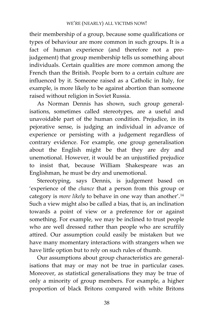their membership of a group, because some qualifications or types of behaviour are more common in such groups. It is a fact of human experience (and therefore not a pre‐ judgement) that group membership tells us something about individuals. Certain qualities are more common among the French than the British. People born to a certain culture are influenced by it. Someone raised as a Catholic in Italy, for example, is more likely to be against abortion than someone raised without religion in Soviet Russia.

As Norman Dennis has shown, such group general‐ isations, sometimes called stereotypes, are a useful and unavoidable part of the human condition. Prejudice, in its pejorative sense, is judging an individual in advance of experience or persisting with a judgement regardless of contrary evidence. For example, one group generalisation about the English might be that they are dry and unemotional. However, it would be an unjustified prejudice to insist that, because William Shakespeare was an Englishman, he must be dry and unemotional.

Stereotyping, says Dennis, is judgement based on 'experience of the *chance* that a person from this group or category is *more likely* to behave in one way than another'.[14](#page-95-0) Such a view might also be called a bias, that is, an inclination towards a point of view or a preference for or against something. For example, we may be inclined to trust people who are well dressed rather than people who are scruffily attired. Our assumption could easily be mistaken but we have many momentary interactions with strangers when we have little option but to rely on such rules of thumb.

Our assumptions about group characteristics are general‐ isations that may or may not be true in particular cases. Moreover, as statistical generalisations they may be true of only a minority of group members. For example, a higher proportion of black Britons compared with white Britons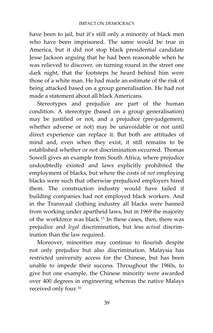have been to jail, but it's still only a minority of black men who have been imprisoned. The same would be true in America, but it did not stop black presidential candidate Jesse Jackson arguing that he had been reasonable when he was relieved to discover, on turning round in the street one dark night, that the footsteps he heard behind him were those of a white man. He had made an estimate of the risk of being attacked based on a group generalisation. He had not made a statement about all black Americans.

Stereotypes and prejudice are part of the human condition. A stereotype (based on a group generalisation) may be justified or not, and a prejudice (pre‐judgement, whether adverse or not) may be unavoidable or not until direct experience can replace it. But both are attitudes of mind and, even when they exist, it still remains to be established whether or not discrimination occurred. Thomas Sowell gives an example from South Africa, where prejudice undoubtedly existed and laws explicitly prohibited the employment of blacks, but where the costs of *not* employing blacks were such that otherwise prejudiced employers hired them. The construction industry would have failed if building companies had not employed black workers. And in the Transvaal clothing industry all blacks were banned from working under apartheid laws, but in 1969 the majority of the workforce was black.[15](#page-95-0) In these cases, then, there was prejudice and *legal* discrimination, but less *actual* discrim‐ ination than the law required.

Moreover, minorities may continue to flourish despite not only prejudice but also discrimination. Malaysia has restricted university access for the Chinese, but has been unable to impede their success. Throughout the 1960s, to give but one example, the Chinese minority were awarded over 400 degrees in engineering whereas the native Malays received only four.[16](#page-95-0)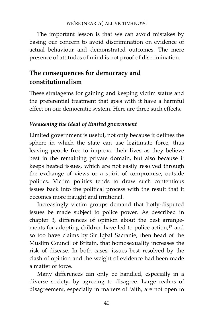The important lesson is that we can avoid mistakes by basing our concern to avoid discrimination on evidence of actual behaviour and demonstrated outcomes. The mere presence of attitudes of mind is not proof of discrimination.

# **The consequences for democracy and constitutionalism**

These stratagems for gaining and keeping victim status and the preferential treatment that goes with it have a harmful effect on our democratic system. Here are three such effects.

## *Weakening the ideal of limited government*

Limited government is useful, not only because it defines the sphere in which the state can use legitimate force, thus leaving people free to improve their lives as they believe best in the remaining private domain, but also because it keeps heated issues, which are not easily resolved through the exchange of views or a spirit of compromise, outside politics. Victim politics tends to draw such contentious issues back into the political process with the result that it becomes more fraught and irrational.

Increasingly victim groups demand that hotly‐disputed issues be made subject to police power. As described in chapter 3, differences of opinion about the best arrange‐ ments for adopting children have led to police action,<sup>[17](#page-95-0)</sup> and so too have claims by Sir Iqbal Sacranie, then head of the Muslim Council of Britain, that homosexuality increases the risk of disease. In both cases, issues best resolved by the clash of opinion and the weight of evidence had been made a matter of force.

Many differences can only be handled, especially in a diverse society, by agreeing to disagree. Large realms of disagreement, especially in matters of faith, are not open to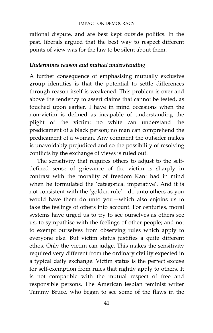rational dispute, and are best kept outside politics. In the past, liberals argued that the best way to respect different points of view was for the law to be silent about them.

### *Undermines reason and mutual understanding*

A further consequence of emphasising mutually exclusive group identities is that the potential to settle differences through reason itself is weakened. This problem is over and above the tendency to assert claims that cannot be tested, as touched upon earlier. I have in mind occasions when the non‐victim is defined as incapable of understanding the plight of the victim: no white can understand the predicament of a black person; no man can comprehend the predicament of a woman. Any comment the outsider makes is unavoidably prejudiced and so the possibility of resolving conflicts by the exchange of views is ruled out.

The sensitivity that requires others to adjust to the self‐ defined sense of grievance of the victim is sharply in contrast with the morality of freedom Kant had in mind when he formulated the 'categorical imperative'. And it is not consistent with the 'golden rule'—do unto others as you would have them do unto you—which also enjoins us to take the feelings of others into account. For centuries, moral systems have urged us to try to see ourselves as others see us; to sympathise with the feelings of other people; and not to exempt ourselves from observing rules which apply to everyone else. But victim status justifies a quite different ethos. Only the victim can judge. This makes the sensitivity required very different from the ordinary civility expected in a typical daily exchange. Victim status is the perfect excuse for self‐exemption from rules that rightly apply to others. It is not compatible with the mutual respect of free and responsible persons. The American lesbian feminist writer Tammy Bruce, who began to see some of the flaws in the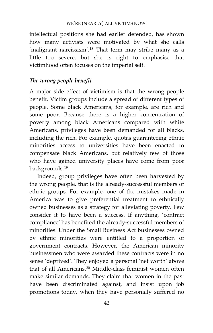intellectual positions she had earlier defended, has shown how many activists were motivated by what she calls 'malignant narcissism'.[18](#page-95-0) That term may strike many as a little too severe, but she is right to emphasise that victimhood often focuses on the imperial self.

## *The wrong people benefit*

A major side effect of victimism is that the wrong people benefit. Victim groups include a spread of different types of people. Some black Americans, for example, are rich and some poor. Because there is a higher concentration of poverty among black Americans compared with white Americans, privileges have been demanded for all blacks, including the rich. For example, quotas guaranteeing ethnic minorities access to universities have been enacted to compensate black Americans, but relatively few of those who have gained university places have come from poor backgrounds.[19](#page-95-0)

Indeed, group privileges have often been harvested by the wrong people, that is the already‐successful members of ethnic groups. For example, one of the mistakes made in America was to give preferential treatment to ethnically owned businesses as a strategy for alleviating poverty. Few consider it to have been a success. If anything, 'contract compliance' has benefited the already‐successful members of minorities. Under the Small Business Act businesses owned by ethnic minorities were entitled to a proportion of government contracts. However, the American minority businessmen who were awarded these contracts were in no sense 'deprived'. They enjoyed a personal 'net worth' above that of all Americans.[20](#page-95-0) Middle‐class feminist women often make similar demands. They claim that women in the past have been discriminated against, and insist upon job promotions today, when they have personally suffered no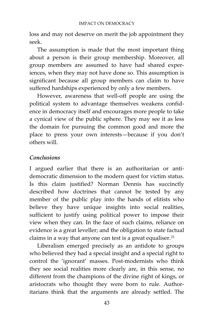loss and may not deserve on merit the job appointment they seek.

The assumption is made that the most important thing about a person is their group membership. Moreover, all group members are assumed to have had shared experiences, when they may not have done so. This assumption is significant because all group members can claim to have suffered hardships experienced by only a few members.

However, awareness that well‐off people are using the political system to advantage themselves weakens confid‐ ence in democracy itself and encourages more people to take a cynical view of the public sphere. They may see it as less the domain for pursuing the common good and more the place to press your own interests—because if you don't others will.

## *Conclusions*

I argued earlier that there is an authoritarian or antidemocratic dimension to the modern quest for victim status. Is this claim justified? Norman Dennis has succinctly described how doctrines that cannot be tested by any member of the public play into the hands of elitists who believe they have unique insights into social realities, sufficient to justify using political power to impose their view when they can. In the face of such claims, reliance on evidence is a great leveller; and the obligation to state factual claims in a way that anyone can test is a great equaliser.<sup>[21](#page-95-0)</sup>

Liberalism emerged precisely as an antidote to groups who believed they had a special insight and a special right to control the 'ignorant' masses. Post-modernists who think they see social realities more clearly are, in this sense, no different from the champions of the divine right of kings, or aristocrats who thought they were born to rule. Author‐ itarians think that the arguments are already settled. The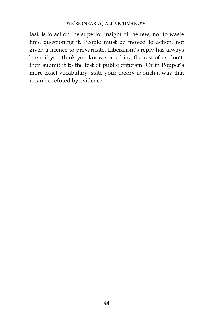task is to act on the superior insight of the few, not to waste time questioning it. People must be moved to action, not given a licence to prevaricate. Liberalism's reply has always been: if you think you know something the rest of us don't, then submit it to the test of public criticism! Or in Popper's more exact vocabulary, state your theory in such a way that it can be refuted by evidence.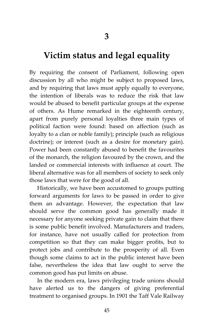# **Victim status and legal equality**

By requiring the consent of Parliament, following open discussion by all who might be subject to proposed laws, and by requiring that laws must apply equally to everyone, the intention of liberals was to reduce the risk that law would be abused to benefit particular groups at the expense of others. As Hume remarked in the eighteenth century, apart from purely personal loyalties three main types of political faction were found: based on affection (such as loyalty to a clan or noble family); principle (such as religious doctrine); or interest (such as a desire for monetary gain). Power had been constantly abused to benefit the favourites of the monarch, the religion favoured by the crown, and the landed or commercial interests with influence at court. The liberal alternative was for all members of society to seek only those laws that were for the good of all.

Historically, we have been accustomed to groups putting forward arguments for laws to be passed in order to give them an advantage. However, the expectation that law should serve the common good has generally made it necessary for anyone seeking private gain to claim that there is some public benefit involved. Manufacturers and traders, for instance, have not usually called for protection from competition so that they can make bigger profits, but to protect jobs and contribute to the prosperity of all. Even though some claims to act in the public interest have been false, nevertheless the idea that law ought to serve the common good has put limits on abuse.

In the modern era, laws privileging trade unions should have alerted us to the dangers of giving preferential treatment to organised groups. In 1901 the Taff Vale Railway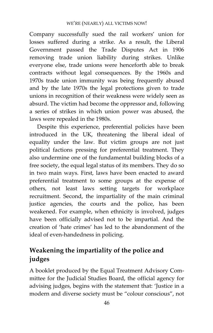Company successfully sued the rail workers' union for losses suffered during a strike. As a result, the Liberal Government passed the Trade Disputes Act in 1906 removing trade union liability during strikes. Unlike everyone else, trade unions were henceforth able to break contracts without legal consequences. By the 1960s and 1970s trade union immunity was being frequently abused and by the late 1970s the legal protections given to trade unions in recognition of their weakness were widely seen as absurd. The victim had become the oppressor and, following a series of strikes in which union power was abused, the laws were repealed in the 1980s.

Despite this experience, preferential policies have been introduced in the UK, threatening the liberal ideal of equality under the law. But victim groups are not just political factions pressing for preferential treatment. They also undermine one of the fundamental building blocks of a free society, the equal legal status of its members. They do so in two main ways. First, laws have been enacted to award preferential treatment to some groups at the expense of others, not least laws setting targets for workplace recruitment. Second, the impartiality of the main criminal justice agencies, the courts and the police, has been weakened. For example, when ethnicity is involved, judges have been officially advised not to be impartial. And the creation of 'hate crimes' has led to the abandonment of the ideal of even‐handedness in policing.

# **Weakening the impartiality of the police and judges**

A booklet produced by the Equal Treatment Advisory Com‐ mittee for the Judicial Studies Board, the official agency for advising judges, begins with the statement that: 'Justice in a modern and diverse society must be "colour conscious", not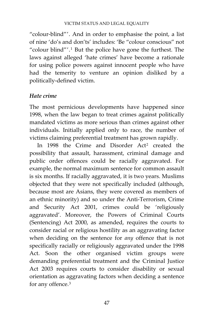"colour‐blind"'. And in order to emphasise the point, a list of nine 'do's and don'ts' includes: 'Be "colour conscious" not "colour blind"'.[1](#page-95-0) But the police have gone the furthest. The laws against alleged 'hate crimes' have become a rationale for using police powers against innocent people who have had the temerity to venture an opinion disliked by a politically‐defined victim.

### *Hate crime*

The most pernicious developments have happened since 1998, when the law began to treat crimes against politically mandated victims as more serious than crimes against other individuals. Initially applied only to race, the number of victims claiming preferential treatment has grown rapidly.

In 1998 the Crime and Disorder Act<sup>[2](#page-95-0)</sup> created the possibility that assault, harassment, criminal damage and public order offences could be racially aggravated. For example, the normal maximum sentence for common assault is six months. If racially aggravated, it is two years. Muslims objected that they were not specifically included (although, because most are Asians, they were covered as members of an ethnic minority) and so under the Anti‐Terrorism, Crime and Security Act 2001, crimes could be 'religiously aggravated'. Moreover, the Powers of Criminal Courts (Sentencing) Act 2000, as amended, requires the courts to consider racial or religious hostility as an aggravating factor when deciding on the sentence for *any* offence that is not specifically racially or religiously aggravated under the 1998 Act. Soon the other organised victim groups were demanding preferential treatment and the Criminal Justice Act 2003 requires courts to consider disability or sexual orientation as aggravating factors when deciding a sentence for any offence[.3](#page-95-0)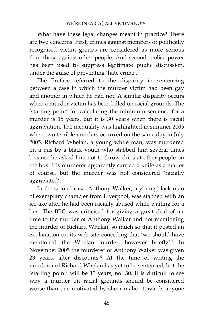What have these legal changes meant in practice? There are two concerns. First, crimes against members of politically recognised victim groups are considered as more serious than those against other people. And second, police power has been used to suppress legitimate public discussion, under the guise of preventing 'hate crime'.

The Preface referred to the disparity in sentencing between a case in which the murder victim had been gay and another in which he had not. A similar disparity occurs when a murder victim has been killed on racial grounds. The 'starting point' for calculating the minimum sentence for a murder is 15 years, but it is 30 years when there is racial aggravation. The inequality was highlighted in summer 2005 when two terrible murders occurred on the same day in July 2005. Richard Whelan, a young white man, was murdered on a bus by a black youth who stabbed him several times because he asked him not to throw chips at other people on the bus. His murderer apparently carried a knife as a matter of course, but the murder was not considered 'racially aggravated'.

In the second case, Anthony Walker, a young black man of exemplary character from Liverpool, was stabbed with an ice‐axe after he had been racially abused while waiting for a bus. The BBC was criticised for giving a great deal of air time to the murder of Anthony Walker and not mentioning the murder of Richard Whelan, so much so that it posted an explanation on its web site conceding that 'we should have mentioned the Whelan murder, however briefly'.[4](#page-95-0) In November 2005 the murderer of Anthony Walker was given 23 years, after discounts.[5](#page-95-0) At the time of writing the murderer of Richard Whelan has yet to be sentenced, but the 'starting point' will be 15 years, not 30. It is difficult to see why a murder on racial grounds should be considered worse than one motivated by sheer malice towards anyone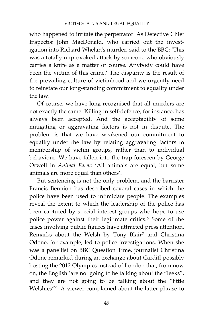who happened to irritate the perpetrator. As Detective Chief Inspector John MacDonald, who carried out the investigation into Richard Whelanʹs murder, said to the BBC: 'This was a totally unprovoked attack by someone who obviously carries a knife as a matter of course. Anybody could have been the victim of this crime.' The disparity is the result of the prevailing culture of victimhood and we urgently need to reinstate our long‐standing commitment to equality under the law.

Of course, we have long recognised that all murders are not exactly the same. Killing in self‐defence, for instance, has always been accepted. And the acceptability of some mitigating or aggravating factors is not in dispute. The problem is that we have weakened our commitment to equality under the law by relating aggravating factors to membership of victim groups, rather than to individual behaviour. We have fallen into the trap foreseen by George Orwell in *Animal Farm*: 'All animals are equal, but some animals are more equal than others'.

But sentencing is not the only problem, and the barrister Francis Bennion has described several cases in which the police have been used to intimidate people. The examples reveal the extent to which the leadership of the police has been captured by special interest groups who hope to use police power against their legitimate critics.<sup>[6](#page-95-0)</sup> Some of the cases involving public figures have attracted press attention. Remarks about the Welsh by Tony Blair<sup>[7](#page-95-0)</sup> and Christina Odone, for example, led to police investigations. When she was a panellist on BBC Question Time, journalist Christina Odone remarked during an exchange about Cardiff possibly hosting the 2012 Olympics instead of London that, from now on, the English 'are not going to be talking about the "leeks", and they are not going to be talking about the "little Welshies"'. A viewer complained about the latter phrase to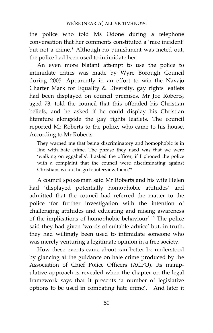the police who told Ms Odone during a telephone conversation that her comments constituted a 'race incident' but not a crime.<sup>[8](#page-95-0)</sup> Although no punishment was meted out, the police had been used to intimidate her.

An even more blatant attempt to use the police to intimidate critics was made by Wyre Borough Council during 2005. Apparently in an effort to win the Navajo Charter Mark for Equality & Diversity, gay rights leaflets had been displayed on council premises. Mr Joe Roberts, aged 73, told the council that this offended his Christian beliefs, and he asked if he could display his Christian literature alongside the gay rights leaflets. The council reported Mr Roberts to the police, who came to his house. According to Mr Roberts:

They warned me that being discriminatory and homophobic is in line with hate crime. The phrase they used was that we were 'walking on eggshells'. I asked the officer, if I phoned the police with a complaint that the council were discriminating against Christians would he go to interview them?<sup>[9](#page-95-0)</sup>

A council spokesman said Mr Roberts and his wife Helen had 'displayed potentially homophobic attitudes' and admitted that the council had referred the matter to the police 'for further investigation with the intention of challenging attitudes and educating and raising awareness of the implications of homophobic behaviour'.[10](#page-95-0) The police said they had given 'words of suitable advice' but, in truth, they had willingly been used to intimidate someone who was merely venturing a legitimate opinion in a free society.

How these events came about can better be understood by glancing at the guidance on hate crime produced by the Association of Chief Police Officers (ACPO). Its manip‐ ulative approach is revealed when the chapter on the legal framework says that it presents 'a number of legislative options to be used in combating hate crime'.[11](#page-95-0) And later it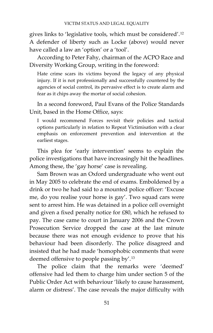gives links to 'legislative tools, which must be considered'.[12](#page-95-0) A defender of liberty such as Locke (above) would never have called a law an 'option' or a 'tool'.

According to Peter Fahy, chairman of the ACPO Race and Diversity Working Group, writing in the foreword:

Hate crime scars its victims beyond the legacy of any physical injury. If it is not professionally and successfully countered by the agencies of social control, its pervasive effect is to create alarm and fear as it chips away the mortar of social cohesion.

In a second foreword, Paul Evans of the Police Standards Unit, based in the Home Office, says:

I would recommend Forces revisit their policies and tactical options particularly in relation to Repeat Victimisation with a clear emphasis on enforcement prevention and intervention at the earliest stages.

This plea for 'early intervention' seems to explain the police investigations that have increasingly hit the headlines. Among these, the 'gay horse' case is revealing.

Sam Brown was an Oxford undergraduate who went out in May 2005 to celebrate the end of exams. Emboldened by a drink or two he had said to a mounted police officer: 'Excuse me, do you realise your horse is gay'. Two squad cars were sent to arrest him. He was detained in a police cell overnight and given a fixed penalty notice for £80, which he refused to pay. The case came to court in January 2006 and the Crown Prosecution Service dropped the case at the last minute because there was not enough evidence to prove that his behaviour had been disorderly. The police disagreed and insisted that he had made 'homophobic comments that were deemed offensive to people passing by'.[13](#page-95-0)

The police claim that the remarks were 'deemed' offensive had led them to charge him under section 5 of the Public Order Act with behaviour 'likely to cause harassment, alarm or distress'. The case reveals the major difficulty with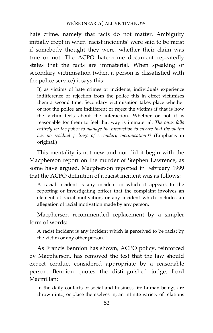hate crime, namely that facts do not matter. Ambiguity initially crept in when 'racist incidents' were said to be racist if somebody thought they were, whether their claim was true or not. The ACPO hate‐crime document repeatedly states that the facts are immaterial. When speaking of secondary victimisation (when a person is dissatisfied with the police service) it says this:

If, as victims of hate crimes or incidents, individuals experience indifference or rejection from the police this in effect victimises them a second time. Secondary victimisation takes place whether or not the police are indifferent or reject the victims if that is how the victim feels about the interaction. Whether or not it is reasonable for them to feel that way is immaterial. *The onus falls entirely on the police to manage the interaction to ensure that the victim has no residual feelings of secondary victimisation*.[14](#page-95-0) (Emphasis in original.)

This mentality is not new and nor did it begin with the Macpherson report on the murder of Stephen Lawrence, as some have argued. Macpherson reported in February 1999 that the ACPO definition of a racist incident was as follows:

A racial incident is any incident in which it appears to the reporting or investigating officer that the complaint involves an element of racial motivation, or any incident which includes an allegation of racial motivation made by any person.

Macpherson recommended replacement by a simpler form of words:

A racist incident is any incident which is perceived to be racist by the victim or any other person.[15](#page-95-0)

As Francis Bennion has shown, ACPO policy, reinforced by Macpherson, has removed the test that the law should expect conduct considered appropriate by a reasonable person. Bennion quotes the distinguished judge, Lord Macmillan:

In the daily contacts of social and business life human beings are thrown into, or place themselves in, an infinite variety of relations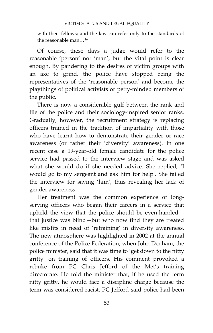#### VICTIM STATUS AND LEGAL EQUALITY

with their fellows; and the law can refer only to the standards of the reasonable man...<sup>[16](#page-95-0)</sup>

Of course, these days a judge would refer to the reasonable 'person' not 'man', but the vital point is clear enough. By pandering to the desires of victim groups with an axe to grind, the police have stopped being the representatives of the 'reasonable person' and become the playthings of political activists or petty‐minded members of the public.

There is now a considerable gulf between the rank and file of the police and their sociology-inspired senior ranks. Gradually, however, the recruitment strategy is replacing officers trained in the tradition of impartiality with those who have learnt how to demonstrate their gender or race awareness (or rather their 'diversity' awareness). In one recent case a 19‐year‐old female candidate for the police service had passed to the interview stage and was asked what she would do if she needed advice. She replied, 'I would go to my sergeant and ask him for help'. She failed the interview for saying 'him', thus revealing her lack of gender awareness.

Her treatment was the common experience of longserving officers who began their careers in a service that upheld the view that the police should be even-handed $$ that justice was blind—but who now find they are treated like misfits in need of 'retraining' in diversity awareness. The new atmosphere was highlighted in 2002 at the annual conference of the Police Federation, when John Denham, the police minister, said that it was time to 'get down to the nitty gritty' on training of officers. His comment provoked a rebuke from PC Chris Jefford of the Met's training directorate. He told the minister that, if he used the term nitty gritty, he would face a discipline charge because the term was considered racist. PC Jefford said police had been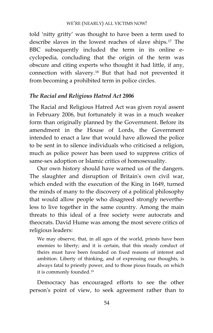told 'nitty gritty' was thought to have been a term used to describe slaves in the lowest reaches of slave ships.[17](#page-95-0) The BBC subsequently included the term in its online ecyclopedia, concluding that the origin of the term was obscure and citing experts who thought it had little, if any, connection with slavery.[18](#page-95-0) But that had not prevented it from becoming a prohibited term in police circles.

### *The Racial and Religious Hatred Act 2006*

The Racial and Religious Hatred Act was given royal assent in February 2006, but fortunately it was in a much weaker form than originally planned by the Government. Before its amendment in the House of Lords, the Government intended to enact a law that would have allowed the police to be sent in to silence individuals who criticised a religion, much as police power has been used to suppress critics of same-sex adoption or Islamic critics of homosexuality.

Our own history should have warned us of the dangers. The slaughter and disruption of Britain's own civil war, which ended with the execution of the King in 1649, turned the minds of many to the discovery of a political philosophy that would allow people who disagreed strongly neverthe‐ less to live together in the same country. Among the main threats to this ideal of a free society were autocrats and theocrats. David Hume was among the most severe critics of religious leaders:

We may observe, that, in all ages of the world, priests have been enemies to liberty; and it is certain, that this steady conduct of theirs must have been founded on fixed reasons of interest and ambition. Liberty of thinking, and of expressing our thoughts, is always fatal to priestly power, and to those pious frauds, on which it is commonly founded.[19](#page-95-0)

Democracy has encouraged efforts to see the other personʹs point of view, to seek agreement rather than to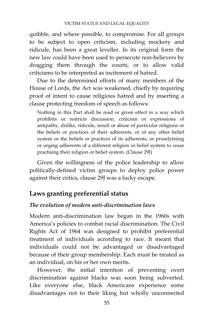quibble, and where possible, to compromise. For all groups to be subject to open criticism, including mockery and ridicule, has been a great leveller. In its original form the new law could have been used to persecute non‐believers by dragging them through the courts, or to allow valid criticisms to be interpreted as incitement of hatred.

Due to the determined efforts of many members of the House of Lords, the Act was weakened, chiefly by requiring proof of intent to cause religious hatred and by inserting a clause protecting freedom of speech as follows:

Nothing in this Part shall be read or given effect in a way which prohibits or restricts discussion, criticism or expressions of antipathy, dislike, ridicule, insult or abuse of particular religions or the beliefs or practices of their adherents, or of any other belief system or the beliefs or practices of its adherents, or proselytising or urging adherents of a different religion or belief system to cease practising their religion or belief system. (Clause 29J)

Given the willingness of the police leadership to allow politically‐defined victim groups to deploy police power against their critics, clause 29J was a lucky escape.

## **Laws granting preferential status**

### *The evolution of modern anti‐discrimination laws*

Modern anti‐discrimination law began in the 1960s with America's policies to combat racial discrimination. The Civil Rights Act of 1964 was designed to prohibit preferential treatment of individuals according to race. It meant that individuals could not be advantaged or disadvantaged because of their group membership. Each must be treated as an individual, on his or her own merits.

However, the initial intention of preventing overt discrimination against blacks was soon being subverted. Like everyone else, black Americans experience some disadvantages not to their liking but wholly unconnected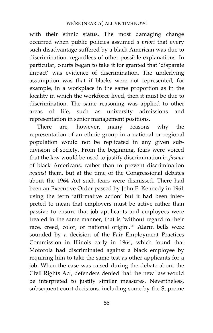with their ethnic status. The most damaging change occurred when public policies assumed *a priori* that every such disadvantage suffered by a black American was due to discrimination, regardless of other possible explanations. In particular, courts began to take it for granted that 'disparate impact' was evidence of discrimination. The underlying assumption was that if blacks were not represented, for example, in a workplace in the same proportion as in the locality in which the workforce lived, then it must be due to discrimination. The same reasoning was applied to other areas of life, such as university admissions and representation in senior management positions.

There are, however, many reasons why the representation of an ethnic group in a national or regional population would not be replicated in any given sub‐ division of society. From the beginning, fears were voiced that the law would be used to justify discrimination in *favour* of black Americans, rather than to prevent discrimination *against* them, but at the time of the Congressional debates about the 1964 Act such fears were dismissed. There had been an Executive Order passed by John F. Kennedy in 1961 using the term 'affirmative action' but it had been interpreted to mean that employers must be active rather than passive to ensure that job applicants and employees were treated in the same manner, that is 'without regard to their race, creed, color, or national origin'.[20](#page-95-0) Alarm bells were sounded by a decision of the Fair Employment Practices Commission in Illinois early in 1964, which found that Motorola had discriminated against a black employee by requiring him to take the same test as other applicants for a job. When the case was raised during the debate about the Civil Rights Act, defenders denied that the new law would be interpreted to justify similar measures. Nevertheless, subsequent court decisions, including some by the Supreme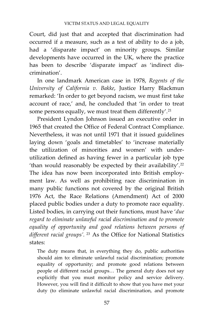Court, did just that and accepted that discrimination had occurred if a measure, such as a test of ability to do a job, had a 'disparate impact' on minority groups. Similar developments have occurred in the UK, where the practice has been to describe 'disparate impact' as 'indirect dis‐ crimination'.

In one landmark American case in 1978, *Regents of the University of California v. Bakke*, Justice Harry Blackmun remarked: 'In order to get beyond racism, we must first take account of race,' and, he concluded that 'in order to treat some persons equally, we must treat them differently'.<sup>[21](#page-95-0)</sup>

President Lyndon Johnson issued an executive order in 1965 that created the Office of Federal Contract Compliance. Nevertheless, it was not until 1971 that it issued guidelines laying down 'goals and timetables' to 'increase materially the utilization of minorities and women' with under‐ utilization defined as having fewer in a particular job type 'than would reasonably be expected by their availability'.<sup>[22](#page-95-0)</sup> The idea has now been incorporated into British employ‐ ment law. As well as prohibiting race discrimination in many public functions not covered by the original British 1976 Act, the Race Relations (Amendment) Act of 2000 placed public bodies under a duty to promote race equality. Listed bodies, in carrying out their functions, must have '*due regard to eliminate unlawful racial discrimination and to promote equality of opportunity and good relations between persons of different racial groups'.* [23](#page-95-0) As the Office for National Statistics states:

The duty means that, in everything they do, public authorities should aim to: eliminate unlawful racial discrimination; promote equality of opportunity; and promote good relations between people of different racial groups… The general duty does not say explicitly that you must monitor policy and service delivery. However, you will find it difficult to show that you have met your duty (to eliminate unlawful racial discrimination, and promote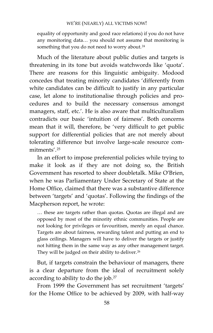#### WE'RE (NEARLY) ALL VICTIMS NOW!

equality of opportunity and good race relations) if you do not have any monitoring data… you should not assume that monitoring is something that you do not need to worry about.<sup>[24](#page-95-0)</sup>

Much of the literature about public duties and targets is threatening in its tone but avoids watchwords like 'quota'. There are reasons for this linguistic ambiguity. Modood concedes that treating minority candidates 'differently from white candidates can be difficult to justify in any particular case, let alone to institutionalise through policies and pro‐ cedures and to build the necessary consensus amongst managers, staff, etc.'. He is also aware that multiculturalism contradicts our basic 'intuition of fairness'. Both concerns mean that it will, therefore, be 'very difficult to get public support for differential policies that are not merely about tolerating difference but involve large-scale resource commitments'.[25](#page-95-0)

In an effort to impose preferential policies while trying to make it look as if they are not doing so, the British Government has resorted to sheer doubletalk. Mike O'Brien, when he was Parliamentary Under Secretary of State at the Home Office, claimed that there was a substantive difference between 'targets' and 'quotas'. Following the findings of the Macpherson report, he wrote:

… these are targets rather than quotas. Quotas are illegal and are opposed by most of the minority ethnic communities. People are not looking for privileges or favouritism, merely an equal chance. Targets are about fairness, rewarding talent and putting an end to glass ceilings. Managers will have to deliver the targets or justify not hitting them in the same way as any other management target. They will be judged on their ability to deliver.<sup>[26](#page-95-0)</sup>

But, if targets constrain the behaviour of managers, there is a clear departure from the ideal of recruitment solely according to ability to do the job.[27](#page-95-0)

From 1999 the Government has set recruitment 'targets' for the Home Office to be achieved by 2009, with half‐way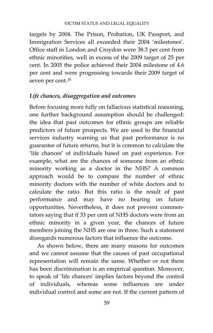targets by 2004. The Prison, Probation, UK Passport, and Immigration Services all exceeded their 2004 'milestones'. Office staff in London and Croydon were 38.3 per cent from ethnic minorities, well in excess of the 2009 target of 25 per cent. In 2005 the police achieved their 2004 milestone of 4.6 per cent and were progressing towards their 2009 target of seven per cent.<sup>[28](#page-95-0)</sup>

### *Life chances, disaggregation and outcomes*

Before focusing more fully on fallacious statistical reasoning, one further background assumption should be challenged: the idea that past outcomes for ethnic groups are reliable predictors of future prospects. We are used to the financial services industry warning us that past performance is no guarantee of future returns, but it is common to calculate the 'life chances' of individuals based on past experience. For example, what are the chances of someone from an ethnic minority working as a doctor in the NHS? A common approach would be to compare the number of ethnic minority doctors with the number of white doctors and to calculate the ratio. But this ratio is the result of past performance and may have no bearing on future opportunities. Nevertheless, it does not prevent commen‐ tators saying that if 33 per cent of NHS doctors were from an ethnic minority in a given year, the chances of future members joining the NHS are one in three. Such a statement disregards numerous factors that influence the outcome.

As shown below, there are many reasons for outcomes and we cannot assume that the causes of past occupational representation will remain the same. Whether or not there has been discrimination is an empirical question. Moreover, to speak of 'life chances' implies factors beyond the control of individuals, whereas some influences are under individual control and some are not. If the current pattern of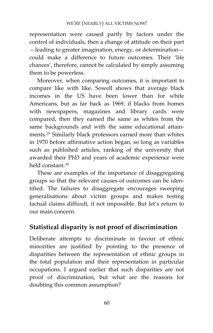representation were caused partly by factors under the control of individuals, then a change of attitude on their part —leading to greater imagination, energy, or determination could make a difference to future outcomes. Their 'life chances', therefore, cannot be calculated by simply assuming them to be powerless.

Moreover, when comparing outcomes, it is important to compare like with like. Sowell shows that average black incomes in the US have been lower than for white Americans, but as far back as 1969, if blacks from homes with newspapers, magazines and library cards were compared, then they earned the same as whites from the same backgrounds and with the same educational attainments.[29](#page-95-0) Similarly black professors earned more than whites in 1970 before affirmative action began, so long as variables such as published articles, ranking of the university that awarded their PhD and years of academic experience were held constant.<sup>[30](#page-95-0)</sup>

These are examples of the importance of disaggregating groups so that the relevant causes of outcomes can be iden‐ tified. The failures to disaggregate encourages sweeping generalisations about victim groups and makes testing factual claims difficult, if not impossible. But let's return to our main concern.

## **Statistical disparity is not proof of discrimination**

Deliberate attempts to discriminate in favour of ethnic minorities are justified by pointing to the presence of disparities between the representation of ethnic groups in the total population and their representation in particular occupations. I argued earlier that such disparities are not proof of discrimination, but what are the reasons for doubting this common assumption?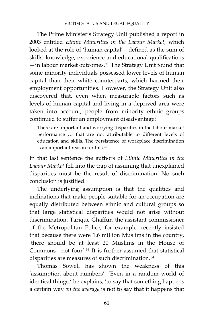The Prime Minister's Strategy Unit published a report in 2003 entitled *Ethnic Minorities in the Labour Market*, which looked at the role of 'human capital'—defined as the sum of skills, knowledge, experience and educational qualifications  $-$ in labour market outcomes.<sup>[31](#page-95-0)</sup> The Strategy Unit found that some minority individuals possessed lower levels of human capital than their white counterparts, which harmed their employment opportunities. However, the Strategy Unit also discovered that, even when measurable factors such as levels of human capital and living in a deprived area were taken into account, people from minority ethnic groups continued to suffer an employment disadvantage:

There are important and worrying disparities in the labour market performance … that are not attributable to different levels of education and skills. The persistence of workplace discrimination is an important reason for this.[32](#page-95-0)

In that last sentence the authors of *Ethnic Minorities in the Labour Market* fell into the trap of assuming that unexplained disparities must be the result of discrimination. No such conclusion is justified.

The underlying assumption is that the qualities and inclinations that make people suitable for an occupation are equally distributed between ethnic and cultural groups so that large statistical disparities would not arise without discrimination. Tarique Ghaffur, the assistant commissioner of the Metropolitan Police, for example, recently insisted that because there were 1.6 million Muslims in the country, 'there should be at least 20 Muslims in the House of Commons—not four'.[33](#page-95-0) It is further assumed that statistical disparities are measures of such discrimination.<sup>[34](#page-95-0)</sup>

Thomas Sowell has shown the weakness of this 'assumption about numbers'. 'Even in a random world of identical things,' he explains, 'to say that something happens a certain way *on the average* is not to say that it happens that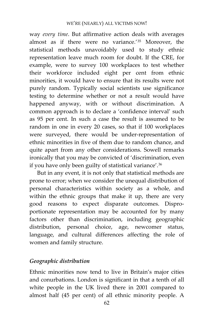way *every time*. But affirmative action deals with averages almost as if there were no variance.'[35](#page-95-0) Moreover, the statistical methods unavoidably used to study ethnic representation leave much room for doubt. If the CRE, for example, were to survey 100 workplaces to test whether their workforce included eight per cent from ethnic minorities, it would have to ensure that its results were not purely random. Typically social scientists use significance testing to determine whether or not a result would have happened anyway, with or without discrimination. A common approach is to declare a 'confidence interval' such as 95 per cent. In such a case the result is assumed to be random in one in every 20 cases, so that if 100 workplaces were surveyed, there would be under-representation of ethnic minorities in five of them due to random chance, and quite apart from any other considerations. Sowell remarks ironically that you may be convicted of 'discrimination, even if you have only been guilty of statistical variance'.[36](#page-95-0)

But in any event, it is not only that statistical methods are prone to error; when we consider the unequal distribution of personal characteristics within society as a whole, and within the ethnic groups that make it up, there are very good reasons to expect disparate outcomes. Dispro‐ portionate representation may be accounted for by many factors other than discrimination, including geographic distribution, personal choice, age, newcomer status, language, and cultural differences affecting the role of women and family structure.

## *Geographic distribution*

Ethnic minorities now tend to live in Britain's major cities and conurbations. London is significant in that a tenth of all white people in the UK lived there in 2001 compared to almost half (45 per cent) of all ethnic minority people. A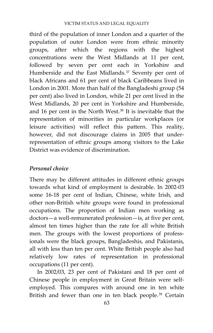third of the population of inner London and a quarter of the population of outer London were from ethnic minority groups, after which the regions with the highest concentrations were the West Midlands at 11 per cent, followed by seven per cent each in Yorkshire and Humberside and the East Midlands.<sup>[37](#page-95-0)</sup> Seventy per cent of black Africans and 61 per cent of black Caribbeans lived in London in 2001. More than half of the Bangladeshi group (54 per cent) also lived in London, while 21 per cent lived in the West Midlands, 20 per cent in Yorkshire and Humberside, and 16 per cent in the North West.<sup>[38](#page-95-0)</sup> It is inevitable that the representation of minorities in particular workplaces (or leisure activities) will reflect this pattern. This reality, however, did not discourage claims in 2005 that under‐ representation of ethnic groups among visitors to the Lake District was evidence of discrimination.

# *Personal choice*

There may be different attitudes in different ethnic groups towards what kind of employment is desirable. In 2002‐03 some 16‐18 per cent of Indian, Chinese, white Irish, and other non‐British white groups were found in professional occupations. The proportion of Indian men working as doctors—a well-remunerated profession—is, at five per cent, almost ten times higher than the rate for all white British men. The groups with the lowest proportions of professionals were the black groups, Bangladeshis, and Pakistanis, all with less than ten per cent. White British people also had relatively low rates of representation in professional occupations (11 per cent).

In 2002/03, 23 per cent of Pakistani and 18 per cent of Chinese people in employment in Great Britain were self‐ employed. This compares with around one in ten white British and fewer than one in ten black people.<sup>[39](#page-95-0)</sup> Certain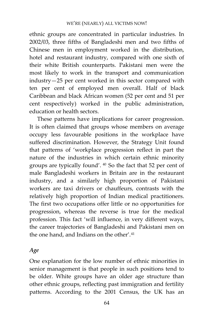ethnic groups are concentrated in particular industries. In 2002/03, three fifths of Bangladeshi men and two fifths of Chinese men in employment worked in the distribution, hotel and restaurant industry, compared with one sixth of their white British counterparts. Pakistani men were the most likely to work in the transport and communication industry—25 per cent worked in this sector compared with ten per cent of employed men overall. Half of black Caribbean and black African women (52 per cent and 51 per cent respectively) worked in the public administration, education or health sectors.

These patterns have implications for career progression. It is often claimed that groups whose members on average occupy less favourable positions in the workplace have suffered discrimination. However, the Strategy Unit found that patterns of 'workplace progression reflect in part the nature of the industries in which certain ethnic minority groups are typically found'. [40](#page-95-0) So the fact that 52 per cent of male Bangladeshi workers in Britain are in the restaurant industry, and a similarly high proportion of Pakistani workers are taxi drivers or chauffeurs, contrasts with the relatively high proportion of Indian medical practitioners. The first two occupations offer little or no opportunities for progression, whereas the reverse is true for the medical profession. This fact 'will influence, in very different ways, the career trajectories of Bangladeshi and Pakistani men on the one hand, and Indians on the other'.<sup>[41](#page-95-0)</sup>

# *Age*

One explanation for the low number of ethnic minorities in senior management is that people in such positions tend to be older. White groups have an older age structure than other ethnic groups, reflecting past immigration and fertility patterns. According to the 2001 Census, the UK has an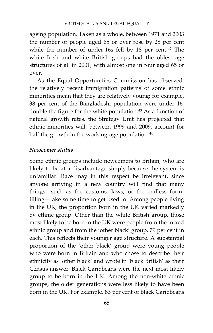ageing population. Taken as a whole, between 1971 and 2003 the number of people aged 65 or over rose by 28 per cent while the number of under-16s fell by 18 per cent.<sup>[42](#page-95-0)</sup> The white Irish and white British groups had the oldest age structures of all in 2001, with almost one in four aged 65 or over.

As the Equal Opportunities Commission has observed, the relatively recent immigration patterns of some ethnic minorities mean that they are relatively young: for example, 38 per cent of the Bangladeshi population were under 16, double the figure for the white population.<sup>[43](#page-95-0)</sup> As a function of natural growth rates, the Strategy Unit has projected that ethnic minorities will, between 1999 and 2009, account for half the growth in the working-age population.<sup>[44](#page-95-0)</sup>

# *Newcomer status*

Some ethnic groups include newcomers to Britain, who are likely to be at a disadvantage simply because the system is unfamiliar. Race may in this respect be irrelevant, since anyone arriving in a new country will find that many things—such as the customs, laws, or the endless form‐ filling—take some time to get used to. Among people living in the UK, the proportion born in the UK varied markedly by ethnic group. Other than the white British group, those most likely to be born in the UK were people from the mixed ethnic group and from the 'other black' group, 79 per cent in each. This reflects their younger age structure. A substantial proportion of the 'other black' group were young people who were born in Britain and who chose to describe their ethnicity as 'other black' and wrote in 'black British' as their Census answer. Black Caribbeans were the next most likely group to be born in the UK. Among the non‐white ethnic groups, the older generations were less likely to have been born in the UK. For example, 83 per cent of black Caribbeans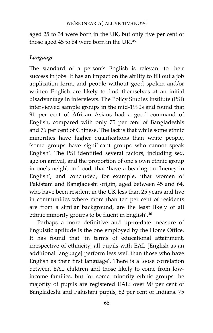aged 25 to 34 were born in the UK, but only five per cent of those aged 45 to 64 were born in the UK.[45](#page-95-0)

# *Language*

The standard of a person's English is relevant to their success in jobs. It has an impact on the ability to fill out a job application form, and people without good spoken and/or written English are likely to find themselves at an initial disadvantage in interviews. The Policy Studies Institute (PSI) interviewed sample groups in the mid‐1990s and found that 91 per cent of African Asians had a good command of English, compared with only 75 per cent of Bangladeshis and 76 per cent of Chinese. The fact is that while some ethnic minorities have higher qualifications than white people, 'some groups have significant groups who cannot speak English'. The PSI identified several factors, including sex, age on arrival, and the proportion of one's own ethnic group in one's neighbourhood, that 'have a bearing on fluency in English', and concluded, for example, 'that women of Pakistani and Bangladeshi origin, aged between 45 and 64, who have been resident in the UK less than 25 years and live in communities where more than ten per cent of residents are from a similar background, are the least likely of all ethnic minority groups to be fluent in English'.[46](#page-95-0)

Perhaps a more definitive and up-to-date measure of linguistic aptitude is the one employed by the Home Office. It has found that 'in terms of educational attainment, irrespective of ethnicity, all pupils with EAL [English as an additional language] perform less well than those who have English as their first language'. There is a loose correlation between EAL children and those likely to come from low‐ income families, but for some minority ethnic groups the majority of pupils are registered EAL: over 90 per cent of Bangladeshi and Pakistani pupils, 82 per cent of Indians, 75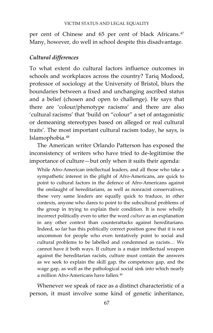per cent of Chinese and 65 per cent of black Africans.[47](#page-95-0) Many, however, do well in school despite this disadvantage.

## *Cultural differences*

To what extent do cultural factors influence outcomes in schools and workplaces across the country? Tariq Modood, professor of sociology at the University of Bristol, blurs the boundaries between a fixed and unchanging ascribed status and a belief (chosen and open to challenge). He says that there are 'colour/phenotype racisms' and there are also 'cultural racisms' that 'build on "colour" a set of antagonistic or demeaning stereotypes based on alleged or real cultural traits'. The most important cultural racism today, he says, is Islamophobia.[48](#page-95-0)

The American writer Orlando Patterson has exposed the inconsistency of writers who have tried to de‐legitimise the importance of culture—but only when it suits their agenda:

While Afro‐American intellectual leaders, and all those who take a sympathetic interest in the plight of Afro‐Americans, are quick to point to cultural factors in the defence of Afro‐Americans against the onslaught of hereditarians, as well as nonracist conservatives, these very same leaders are equally quick to traduce, in other contexts, anyone who dares to point to the subcultural problems of the group in trying to explain their condition. It is now wholly incorrect politically even to utter the word *culture* as an explanation in any other context than counterattacks against hereditarians. Indeed, so far has this politically correct position gone that it is not uncommon for people who even tentatively point to social and cultural problems to be labelled and condemned as racists… We cannot have it both ways. If culture is a major intellectual weapon against the hereditarian racists, culture must contain the answers as we seek to explain the skill gap, the competence gap, and the wage gap, as well as the pathological social sink into which nearly a million Afro‐Americans have fallen.[49](#page-95-0)

Whenever we speak of race as a distinct characteristic of a person, it must involve some kind of genetic inheritance,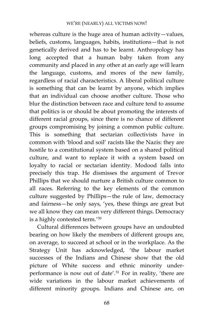whereas culture is the huge area of human activity—values, beliefs, customs, languages, habits, institutions—that is not genetically derived and has to be learnt. Anthropology has long accepted that a human baby taken from any community and placed in any other at an early age will learn the language, customs, and mores of the new family, regardless of racial characteristics. A liberal political culture is something that can be learnt by anyone, which implies that an individual can choose another culture. Those who blur the distinction between race and culture tend to assume that politics is or should be about promoting the interests of different racial groups, since there is no chance of different groups compromising by joining a common public culture. This is something that sectarian collectivists have in common with 'blood and soil' racists like the Nazis: they are hostile to a constitutional system based on a shared political culture, and want to replace it with a system based on loyalty to racial or sectarian identity. Modood falls into precisely this trap. He dismisses the argument of Trevor Phillips that we should nurture a British culture common to all races. Referring to the key elements of the common culture suggested by Phillips—the rule of law, democracy and fairness—he only says, 'yes, these things are great but we all know they can mean very different things. Democracy is a highly contested term.'[50](#page-95-0)

Cultural differences between groups have an undoubted bearing on how likely the members of different groups are, on average, to succeed at school or in the workplace. As the Strategy Unit has acknowledged, 'the labour market successes of the Indians and Chinese show that the old picture of White success and ethnic minority under‐ performance is now out of date'.<sup>[51](#page-95-0)</sup> For in reality, 'there are wide variations in the labour market achievements of different minority groups. Indians and Chinese are, on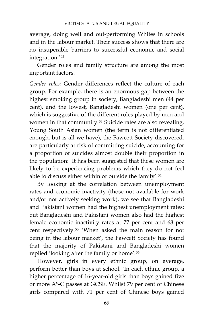average, doing well and out‐performing Whites in schools and in the labour market. Their success shows that there are no insuperable barriers to successful economic and social integration.'[52](#page-95-0)

Gender roles and family structure are among the most important factors.

*Gender roles:* Gender differences reflect the culture of each group. For example, there is an enormous gap between the highest smoking group in society, Bangladeshi men (44 per cent), and the lowest, Bangladeshi women (one per cent), which is suggestive of the different roles played by men and women in that community.[53](#page-95-0) Suicide rates are also revealing. Young South Asian women (the term is not differentiated enough, but is all we have), the Fawcett Society discovered, are particularly at risk of committing suicide, accounting for a proportion of suicides almost double their proportion in the population: 'It has been suggested that these women are likely to be experiencing problems which they do not feel able to discuss either within or outside the family'.<sup>[54](#page-95-0)</sup>

By looking at the correlation between unemployment rates and economic inactivity (those not available for work and/or not actively seeking work), we see that Bangladeshi and Pakistani women had the highest unemployment rates; but Bangladeshi and Pakistani women also had the highest female economic inactivity rates at 77 per cent and 68 per cent respectively.[55](#page-95-0) 'When asked the main reason for not being in the labour market', the Fawcett Society has found that the majority of Pakistani and Bangladeshi women replied 'looking after the family or home'.[56](#page-95-0)

However, girls in every ethnic group, on average, perform better than boys at school. 'In each ethnic group, a higher percentage of 16‐year‐old girls than boys gained five or more A\*‐C passes at GCSE. Whilst 79 per cent of Chinese girls compared with 71 per cent of Chinese boys gained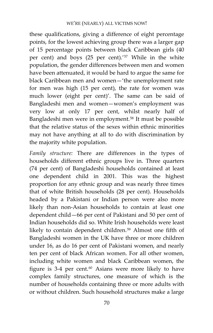these qualifications, giving a difference of eight percentage points, for the lowest achieving group there was a larger gap of 15 percentage points between black Caribbean girls (40 per cent) and boys (25 per cent).'[57](#page-95-0) While in the white population, the gender differences between men and women have been attenuated, it would be hard to argue the same for black Caribbean men and women—'the unemployment rate for men was high (15 per cent), the rate for women was much lower (eight per cent)'. The same can be said of Bangladeshi men and women—women's employment was very low at only 17 per cent, whilst nearly half of Bangladeshi men were in employment.[58](#page-95-0) It must be possible that the relative status of the sexes within ethnic minorities may not have anything at all to do with discrimination by the majority white population.

*Family structure:* There are differences in the types of households different ethnic groups live in. Three quarters (74 per cent) of Bangladeshi households contained at least one dependent child in 2001. This was the highest proportion for any ethnic group and was nearly three times that of white British households (28 per cent). Households headed by a Pakistani or Indian person were also more likely than non‐Asian households to contain at least one dependent child—66 per cent of Pakistani and 50 per cent of Indian households did so. White Irish households were least likely to contain dependent children.[59](#page-95-0) Almost one fifth of Bangladeshi women in the UK have three or more children under 16, as do 16 per cent of Pakistani women, and nearly ten per cent of black African women. For all other women, including white women and black Caribbean women, the figure is 3-4 per cent.<sup>[60](#page-95-0)</sup> Asians were more likely to have complex family structures, one measure of which is the number of households containing three or more adults with or without children. Such household structures make a large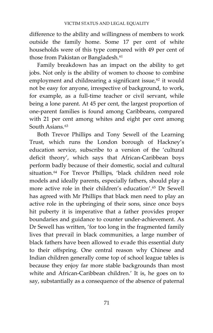difference to the ability and willingness of members to work outside the family home. Some 17 per cent of white households were of this type compared with 49 per cent of those from Pakistan or Bangladesh.<sup>[61](#page-95-0)</sup>

Family breakdown has an impact on the ability to get jobs. Not only is the ability of women to choose to combine employment and childrearing a significant issue, $62$  it would not be easy for anyone, irrespective of background, to work, for example, as a full-time teacher or civil servant, while being a lone parent. At 45 per cent, the largest proportion of one‐parent families is found among Caribbeans, compared with 21 per cent among whites and eight per cent among South Asians.<sup>[63](#page-95-0)</sup>

Both Trevor Phillips and Tony Sewell of the Learning Trust, which runs the London borough of Hackney's education service, subscribe to a version of the 'cultural deficit theory', which says that African-Caribbean boys perform badly because of their domestic, social and cultural situation.<sup>[64](#page-95-0)</sup> For Trevor Phillips, 'black children need role models and ideally parents, especially fathers, should play a more active role in their children's education'.[65](#page-95-0) Dr Sewell has agreed with Mr Phillips that black men need to play an active role in the upbringing of their sons, since once boys hit puberty it is imperative that a father provides proper boundaries and guidance to counter under‐achievement. As Dr Sewell has written, 'for too long in the fragmented family lives that prevail in black communities, a large number of black fathers have been allowed to evade this essential duty to their offspring. One central reason why Chinese and Indian children generally come top of school league tables is because they enjoy far more stable backgrounds than most white and African-Caribbean children.' It is, he goes on to say, substantially as a consequence of the absence of paternal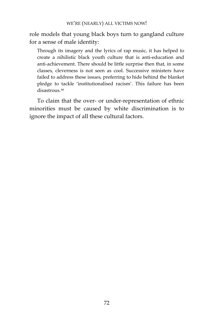role models that young black boys turn to gangland culture for a sense of male identity:

Through its imagery and the lyrics of rap music, it has helped to create a nihilistic black youth culture that is anti‐education and anti‐achievement. There should be little surprise then that, in some classes, cleverness is not seen as cool. Successive ministers have failed to address these issues, preferring to hide behind the blanket pledge to tackle 'institutionalised racism'. This failure has been disastrous.<sup>[66](#page-95-0)</sup>

To claim that the over‐ or under‐representation of ethnic minorities must be caused by white discrimination is to ignore the impact of all these cultural factors.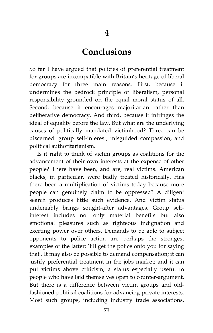# **Conclusions**

So far I have argued that policies of preferential treatment for groups are incompatible with Britain's heritage of liberal democracy for three main reasons. First, because it undermines the bedrock principle of liberalism, personal responsibility grounded on the equal moral status of all. Second, because it encourages majoritarian rather than deliberative democracy. And third, because it infringes the ideal of equality before the law. But what are the underlying causes of politically mandated victimhood? Three can be discerned: group self‐interest; misguided compassion; and political authoritarianism.

Is it right to think of victim groups as coalitions for the advancement of their own interests at the expense of other people? There have been, and are, real victims. American blacks, in particular, were badly treated historically. Has there been a multiplication of victims today because more people can genuinely claim to be oppressed? A diligent search produces little such evidence. And victim status undeniably brings sought‐after advantages. Group self‐ interest includes not only material benefits but also emotional pleasures such as righteous indignation and exerting power over others. Demands to be able to subject opponents to police action are perhaps the strongest examples of the latter: 'I'll get the police onto you for saying that'. It may also be possible to demand compensation; it can justify preferential treatment in the jobs market; and it can put victims above criticism, a status especially useful to people who have laid themselves open to counter‐argument. But there is a difference between victim groups and old‐ fashioned political coalitions for advancing private interests. Most such groups, including industry trade associations,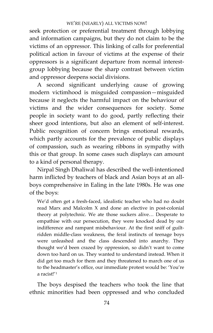### WE'RE (NEARLY) ALL VICTIMS NOW!

seek protection or preferential treatment through lobbying and information campaigns, but they do not claim to be the victims of an oppressor. This linking of calls for preferential political action in favour of victims at the expense of their oppressors is a significant departure from normal interest‐ group lobbying because the sharp contrast between victim and oppressor deepens social divisions.

A second significant underlying cause of growing modern victimhood is misguided compassion—misguided because it neglects the harmful impact on the behaviour of victims and the wider consequences for society. Some people in society want to do good, partly reflecting their sheer good intentions, but also an element of self-interest. Public recognition of concern brings emotional rewards, which partly accounts for the prevalence of public displays of compassion, such as wearing ribbons in sympathy with this or that group. In some cases such displays can amount to a kind of personal therapy.

Nirpal Singh Dhaliwal has described the well‐intentioned harm inflicted by teachers of black and Asian boys at an allboys comprehensive in Ealing in the late 1980s. He was one of the boys:

We'd often get a fresh‐faced, idealistic teacher who had no doubt read Marx and Malcolm  $X$  and done an elective in post-colonial theory at polytechnic. We ate those suckers alive… Desperate to empathise with our persecution, they were knocked dead by our indifference and rampant misbehaviour. At the first sniff of guiltridden middle‐class weakness, the feral instincts of teenage boys were unleashed and the class descended into anarchy. They thought we'd been crazed by oppression, so didn't want to come down too hard on us. They wanted to understand instead. When it did get too much for them and they threatened to march one of us to the headmaster's office, our immediate protest would be: 'You're a racist!'[1](#page-95-1)

The boys despised the teachers who took the line that ethnic minorities had been oppressed and who concluded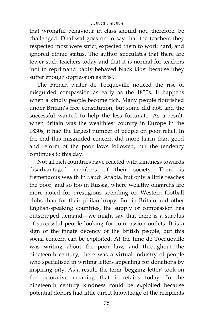#### **CONCLUSIONS**

that wrongful behaviour in class should not, therefore, be challenged. Dhaliwal goes on to say that the teachers they respected most were strict, expected them to work hard, and ignored ethnic status. The author speculates that there are fewer such teachers today and that it is normal for teachers 'not to reprimand badly behaved black kids' because 'they suffer enough oppression as it is'.

The French writer de Tocqueville noticed the rise of misguided compassion as early as the 1830s. It happens when a kindly people become rich. Many people flourished under Britain's free constitution, but some did not, and the successful wanted to help the less fortunate. As a result, when Britain was the wealthiest country in Europe in the 1830s, it had the largest number of people on poor relief. In the end this misguided concern did more harm than good and reform of the poor laws followed, but the tendency continues to this day.

Not all rich countries have reacted with kindness towards disadvantaged members of their society. There is tremendous wealth in Saudi Arabia, but only a little reaches the poor, and so too in Russia, where wealthy oligarchs are more noted for prestigious spending on Western football clubs than for their philanthropy. But in Britain and other English‐speaking countries, the supply of compassion has outstripped demand—we might say that there is a surplus of successful people looking for compassion outlets. It is a sign of the innate decency of the British people, but this social concern can be exploited. At the time de Tocqueville was writing about the poor law, and throughout the nineteenth century, there was a virtual industry of people who specialised in writing letters appealing for donations by inspiring pity. As a result, the term 'begging letter' took on the pejorative meaning that it retains today. In the nineteenth century kindness could be exploited because potential donors had little direct knowledge of the recipients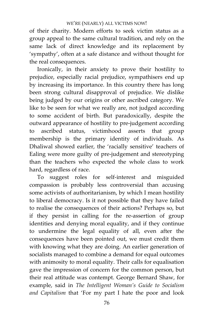of their charity. Modern efforts to seek victim status as a group appeal to the same cultural tradition, and rely on the same lack of direct knowledge and its replacement by 'sympathy', often at a safe distance and without thought for the real consequences.

Ironically, in their anxiety to prove their hostility to prejudice, especially racial prejudice, sympathisers end up by increasing its importance. In this country there has long been strong cultural disapproval of prejudice. We dislike being judged by our origins or other ascribed category. We like to be seen for what we really are, not judged according to some accident of birth. But paradoxically, despite the outward appearance of hostility to pre‐judgement according to ascribed status, victimhood asserts that group membership is the primary identity of individuals. As Dhaliwal showed earlier, the 'racially sensitive' teachers of Ealing were more guilty of pre‐judgement and stereotyping than the teachers who expected the whole class to work hard, regardless of race.

To suggest roles for self‐interest and misguided compassion is probably less controversial than accusing some activists of authoritarianism, by which I mean hostility to liberal democracy. Is it not possible that they have failed to realise the consequences of their actions? Perhaps so, but if they persist in calling for the re‐assertion of group identities and denying moral equality, and if they continue to undermine the legal equality of all, even after the consequences have been pointed out, we must credit them with knowing what they are doing. An earlier generation of socialists managed to combine a demand for equal outcomes with animosity to moral equality. Their calls for equalisation gave the impression of concern for the common person, but their real attitude was contempt. George Bernard Shaw, for example, said in *The Intelligent Woman's Guide to Socialism and Capitalism* that 'For my part I hate the poor and look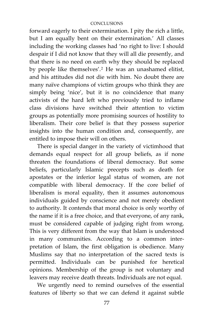### **CONCLUSIONS**

forward eagerly to their extermination. I pity the rich a little, but I am equally bent on their extermination.' All classes including the working classes had 'no right to live: I should despair if I did not know that they will all die presently, and that there is no need on earth why they should be replaced by people like themselves'.[2](#page-95-1) He was an unashamed elitist, and his attitudes did not die with him. No doubt there are many naïve champions of victim groups who think they are simply being 'nice', but it is no coincidence that many activists of the hard left who previously tried to inflame class divisions have switched their attention to victim groups as potentially more promising sources of hostility to liberalism. Their core belief is that they possess superior insights into the human condition and, consequently, are entitled to impose their will on others.

There is special danger in the variety of victimhood that demands equal respect for all group beliefs, as if none threaten the foundations of liberal democracy. But some beliefs, particularly Islamic precepts such as death for apostates or the inferior legal status of women, are not compatible with liberal democracy. If the core belief of liberalism is moral equality, then it assumes autonomous individuals guided by conscience and not merely obedient to authority. It contends that moral choice is only worthy of the name if it is a free choice, and that everyone, of any rank, must be considered capable of judging right from wrong. This is very different from the way that Islam is understood in many communities. According to a common interpretation of Islam, the first obligation is obedience. Many Muslims say that no interpretation of the sacred texts is permitted. Individuals can be punished for heretical opinions. Membership of the group is not voluntary and leavers may receive death threats. Individuals are not equal.

We urgently need to remind ourselves of the essential features of liberty so that we can defend it against subtle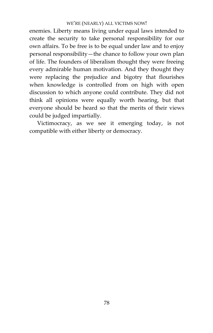### WE'RE (NEARLY) ALL VICTIMS NOW!

enemies. Liberty means living under equal laws intended to create the security to take personal responsibility for our own affairs. To be free is to be equal under law and to enjoy personal responsibility—the chance to follow your own plan of life. The founders of liberalism thought they were freeing every admirable human motivation. And they thought they were replacing the prejudice and bigotry that flourishes when knowledge is controlled from on high with open discussion to which anyone could contribute. They did not think all opinions were equally worth hearing, but that everyone should be heard so that the merits of their views could be judged impartially.

Victimocracy, as we see it emerging today, is not compatible with either liberty or democracy.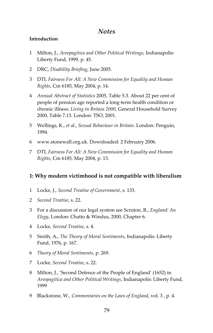# *Notes*

### **Introduction**

- 1 Milton, J., *Areopagitica and Other Political Writings*, Indianapolis: Liberty Fund, 1999, p. 45.
- 2 DRC, *Disability Briefing*, June 2005.
- 3 DTI, *Fairness For All: A New Commission for Equality and Human Rights*, Cm 6185, May 2004, p. 14.
- 4 *Annual Abstract of Statistics* 2005, Table 5.3. About 22 per cent of people of pension age reported a long‐term health condition or chronic illness. *Living in Britain 2000*, General Household Survey 2000, Table 7.13. London: TSO, 2001.
- 5 Wellings, K., *et al*., *Sexual Behaviour in Britain*. London: Penguin, 1994.
- 6 www.stonewall.org.uk. Downloaded: 2 February 2006.
- 7 DTI, *Fairness For All: A New Commission for Equality and Human Rights*, Cm 6185, May 2004, p. 13.

# **1: Why modern victimhood is not compatible with liberalism**

- 1 Locke, J., *Second Treatise of Government*, s. 133.
- 2 *Second Treatise*, s. 22.
- 3 For a discussion of our legal system see Scruton, R., *England: An Elegy*, London: Chatto & Windus, 2000, Chapter 6.
- 4 Locke, *Second Treatise*, s. 4.
- 5 Smith, A., *The Theory of Moral Sentiments*, Indianapolis: Liberty Fund, 1976, p. 167.
- 6 *Theory of Moral Sentiments*, p. 269.
- 7 Locke, *Second Treatise*, s. 22.
- 8 Milton, J., 'Second Defence of the People of England' (1652) in *Areopagitica and Other Political Writings*, Indianapolis: Liberty Fund, 1999
- 9 Blackstone, W., *Commentaries on the Laws of England*, vol. 3 , p. 4.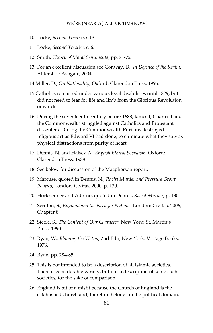- 10 Locke, *Second Treatise*, s.13.
- 11 Locke, *Second Treatise*, s. 6.
- 12 Smith, *Theory of Moral Sentiments*, pp. 71‐72.
- 13 For an excellent discussion see Conway, D., *In Defence of the Realm*. Aldershot: Ashgate, 2004.
- 14 Miller, D., *On Nationality*, Oxford: Clarendon Press, 1995.
- 15 Catholics remained under various legal disabilities until 1829, but did not need to fear for life and limb from the Glorious Revolution onwards.
- 16 During the seventeenth century before 1688, James I, Charles I and the Commonwealth struggled against Catholics and Protestant dissenters. During the Commonwealth Puritans destroyed religious art as Edward VI had done, to eliminate what they saw as physical distractions from purity of heart.
- 17 Dennis, N. and Halsey A., *English Ethical Socialism*. Oxford: Clarendon Press, 1988.
- 18 See below for discussion of the Macpherson report.
- 19 Marcuse, quoted in Dennis, N., *Racist Murder and Pressure Group Politics*, London: Civitas, 2000, p. 130.
- 20 Horkheimer and Adorno, quoted in Dennis, *Racist Murder*, p. 130.
- 21 Scruton, S., *England and the Need for Nations*, London: Civitas, 2006, Chapter 8.
- 22 Steele, S., *The Content of Our Character*, New York: St. Martin's Press, 1990.
- 23 Ryan, W., *Blaming the Victim*, 2nd Edn, New York: Vintage Books, 1976.
- 24 Ryan, pp. 284‐85.
- 25 This is not intended to be a description of all Islamic societies. There is considerable variety, but it is a description of some such societies, for the sake of comparison.
- 26 England is bit of a misfit because the Church of England is the established church and, therefore belongs in the political domain.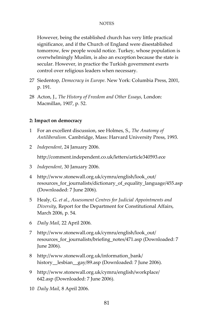#### **NOTES**

However, being the established church has very little practical significance, and if the Church of England were disestablished tomorrow, few people would notice. Turkey, whose population is overwhelmingly Muslim, is also an exception because the state is secular. However, in practice the Turkish government exerts control over religious leaders when necessary.

- 27 Siedentop, *Democracy in Europe*. New York: Columbia Press, 2001, p. 191.
- 28 Acton, J., *The History of Freedom and Other Essays*, London: Macmillan, 1907, p. 52.

### **2: Impact on democracy**

- 1 For an excellent discussion, see Holmes, S., *The Anatomy of Antiliberalism*. Cambridge, Mass: Harvard University Press, 1993.
- 2 *Independent*, 24 January 2006.

http://comment.independent.co.uk/letters/article340593.ece

- 3 *Independent*, 30 January 2006.
- 4 http://www.stonewall.org.uk/cymru/english/look\_out/ resources\_for\_journalists/dictionary\_of\_equality\_language/455.asp (Downloaded: 7 June 2006).
- 5 Healy, G. *et al*., *Assessment Centres for Judicial Appointments and Diversity*, Report for the Department for Constitutional Affairs, March 2006, p. 54.
- 6 *Daily Mail*, 22 April 2006.
- 7 http://www.stonewall.org.uk/cymru/english/look\_out/ resources\_for\_journalists/briefing\_notes/471.asp (Downloaded: 7 June 2006).
- 8 http://www.stonewall.org.uk/information\_bank/ history\_\_lesbian\_\_gay/89.asp (Downloaded: 7 June 2006).
- 9 http://www.stonewall.org.uk/cymru/english/workplace/ 642.asp (Downloaded: 7 June 2006).
- 10 *Daily Mail*, 8 April 2006.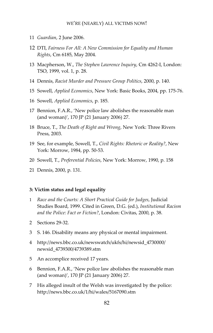#### WE'RE (NEARLY) ALL VICTIMS NOW!

- 11 *Guardian*, 2 June 2006.
- 12 DTI, *Fairness For All: A New Commission for Equality and Human Rights*, Cm 6185, May 2004.
- 13 Macpherson, W., *The Stephen Lawrence Inquiry*, Cm 4262‐I, London: TSO, 1999, vol. 1, p. 28.
- 14 Dennis, *Racist Murder and Pressure Group Politics*, 2000, p. 140.
- 15 Sowell, *Applied Economics*, New York: Basic Books, 2004, pp. 175‐76.
- 16 Sowell, *Applied Economics*, p. 185.
- 17 Bennion, F.A.R., 'New police law abolishes the reasonable man (and woman)', 170 JP (21 January 2006) 27.
- 18 Bruce, T., *The Death of Right and Wrong*, New York: Three Rivers Press, 2003.
- 19 See, for example, Sowell, T., *Civil Rights: Rhetoric or Reality?*, New York: Morrow, 1984, pp. 50‐53.
- 20 Sowell, T., *Preferential Policies*, New York: Morrow, 1990, p. 158
- 21 Dennis, 2000, p. 131.

#### **3: Victim status and legal equality**

- 1 *Race and the Courts: A Short Practical Guide for Judges*, Judicial Studies Board, 1999. Cited in Green, D.G. (ed.), *Institutional Racism and the Police: Fact or Fiction?*, London: Civitas, 2000, p. 38.
- 2 Sections 29‐32.
- 3 S. 146. Disability means any physical or mental impairment.
- 4 http://news.bbc.co.uk/newswatch/ukfs/hi/newsid\_4730000/ newsid\_4739300/4739389.stm
- 5 An accomplice received 17 years.
- 6 Bennion, F.A.R., 'New police law abolishes the reasonable man (and woman)', 170 JP (21 January 2006) 27.
- 7 His alleged insult of the Welsh was investigated by the police: http://news.bbc.co.uk/1/hi/wales/5167090.stm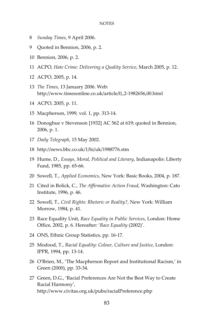#### **NOTES**

- *Sunday Times*, 9 April 2006.
- 9 Quoted in Bennion, 2006, p. 2.
- Bennion, 2006, p. 2.
- ACPO, *Hate Crime: Delivering a Quality Service*, March 2005, p. 12.
- ACPO, 2005, p. 14.
- *The Times*, 13 January 2006. Web: http://www.timesonline.co.uk/article/0,,2‐1982656,00.html
- ACPO, 2005, p. 11.
- Macpherson, 1999, vol. 1, pp. 313‐14.
- Donoghue v Stevenson [1932] AC 562 at 619; quoted in Bennion, 2006, p. 1.
- *Daily Telegraph*, 15 May 2002.
- http://news.bbc.co.uk/1/hi/uk/1988776.stm
- Hume, D., *Essays, Moral, Political and Literary*, Indianapolis: Liberty Fund, 1985, pp. 65‐66.
- Sowell, T., *Applied Economics*, New York: Basic Books, 2004, p. 187.
- Cited in Bolick, C., *The Affirmative Action Fraud*, Washington: Cato Institute, 1996, p. 46.
- Sowell, T., *Civil Rights: Rhetoric or Reality?*, New York: William Morrow, 1984, p. 41.
- Race Equality Unit, *Race Equality in Public Services*, London: Home Office, 2002, p. 6. Hereafter: '*Race Equality* (2002)'.
- ONS, Ethnic Group Statistics, pp. 16‐17.
- Modood, T., *Racial Equality: Colour, Culture and Justice*, London: IPPR, 1994, pp. 13‐14.
- O'Brien, M., 'The Macpherson Report and Institutional Racism,' in Green (2000), pp. 33‐34.
- Green, D.G., 'Racial Preferences Are Not the Best Way to Create Racial Harmony', http://www.civitas.org.uk/pubs/racialPreference.php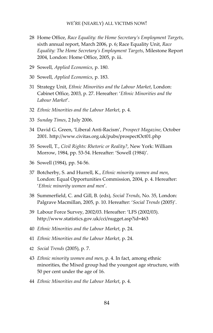- 28 Home Office, *Race Equality: the Home Secretary's Employment Targets*, sixth annual report, March 2006, p. 6; Race Equality Unit, *Race Equality: The Home Secretary's Employment Targets*, Milestone Report 2004, London: Home Office, 2005, p. iii.
- 29 Sowell, *Applied Economics*, p. 180.
- 30 Sowell, *Applied Economics*, p. 183.
- 31 Strategy Unit, *Ethnic Minorities and the Labour Market*, London: Cabinet Office, 2003, p. 27. Hereafter: '*Ethnic Minorities and the Labour Market*'.
- 32 *Ethnic Minorities and the Labour Market*, p. 4.
- 33 *Sunday Times*, 2 July 2006.
- 34 David G. Green, 'Liberal Anti‐Racism', *Prospect Magazine*, October 2001. http://www.civitas.org.uk/pubs/prospectOct01.php
- 35 Sowell, T., *Civil Rights: Rhetoric or Reality?*, New York: William Morrow, 1984, pp. 53‐54. Hereafter: 'Sowell (1984)'.
- 36 Sowell (1984), pp. 54‐56.
- 37 Botcherby, S. and Hurrell, K., *Ethnic minority women and men*, London: Equal Opportunities Commission, 2004, p. 4. Hereafter: '*Ethnic minority women and men*'.
- 38 Summerfield, C. and Gill, B. (eds), *Social Trends*, No. 35, London: Palgrave Macmillan, 2005, p. 10. Hereafter: '*Social Trends* (2005)'.
- 39 Labour Force Survey, 2002/03. Hereafter: 'LFS (2002/03). http://www.statistics.gov.uk/cci/nugget.asp?id=463
- 40 *Ethnic Minorities and the Labour Market*, p. 24.
- 41 *Ethnic Minorities and the Labour Market*, p. 24.
- 42 *Social Trends* (2005), p. 7.
- 43 *Ethnic minority women and men*, p. 4. In fact, among ethnic minorities, the Mixed group had the youngest age structure, with 50 per cent under the age of 16.
- 44 *Ethnic Minorities and the Labour Market*, p. 4.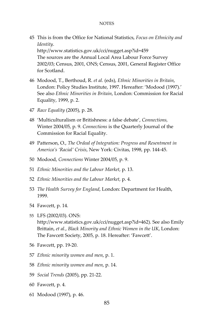- 45 This is from the Office for National Statistics, *Focus on Ethnicity and Identity*. http://www.statistics.gov.uk/cci/nugget.asp?id=459 The sources are the Annual Local Area Labour Force Survey 2002/03; Census, 2001, ONS; Census, 2001, General Register Office for Scotland.
- 46 Modood, T., Berthoud, R. *et al.* (eds), *Ethnic Minorities in Britain*, London: Policy Studies Institute, 1997. Hereafter: 'Modood (1997).' See also *Ethnic Minorities in Britain*, London: Commission for Racial Equality, 1999, p. 2.
- 47 *Race Equality* (2005), p. 28.
- 48 'Multiculturalism or Britishness: a false debate', *Connections,* Winter 2004/05, p. 9. *Connections* is the Quarterly Journal of the Commission for Racial Equality.
- 49 Patterson, O., *The Ordeal of Integration: Progress and Resentment in America's 'Racial' Crisis*, New York: Civitas, 1998, pp. 144‐45.
- 50 Modood, *Connections* Winter 2004/05, p. 9.
- 51 *Ethnic Minorities and the Labour Market*, p. 13.
- 52 *Ethnic Minorities and the Labour Market*, p. 4.
- 53 *The Health Survey for England*, London: Department for Health, 1999.
- 54 Fawcett, p. 14.
- 55 LFS (2002/03). ONS: http://www.statistics.gov.uk/cci/nugget.asp?id=462). See also Emily Brittain, *et al.*, *Black Minority and Ethnic Women in the UK*, London: The Fawcett Society, 2005, p. 18. Hereafter: 'Fawcett'.
- 56 Fawcett, pp. 19‐20.
- 57 *Ethnic minority women and men*, p. 1.
- 58 *Ethnic minority women and men*, p. 14.
- 59 *Social Trends* (2005), pp. 21‐22.
- 60 Fawcett, p. 4.
- 61 Modood (1997), p. 46.